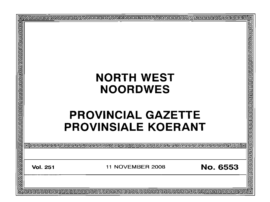| 回  |                                                               |        |
|----|---------------------------------------------------------------|--------|
| 百日 |                                                               | 包      |
|    |                                                               |        |
|    |                                                               |        |
|    |                                                               |        |
|    |                                                               |        |
|    |                                                               |        |
|    |                                                               |        |
|    | <b>NORTH WEST</b>                                             |        |
|    |                                                               |        |
|    | <b>NOORDWES</b>                                               |        |
|    |                                                               |        |
|    |                                                               |        |
|    |                                                               |        |
|    | <b>PROVINCIAL GAZETTE</b>                                     |        |
|    | <b>PROVINSIALE KOERANT</b>                                    |        |
|    |                                                               |        |
|    |                                                               |        |
|    |                                                               | 딉<br>己 |
|    |                                                               |        |
|    |                                                               |        |
|    | <b>No. 6553</b><br><b>11 NOVEMBER 2008</b><br><b>Vol. 251</b> |        |
|    |                                                               |        |
|    |                                                               | 림      |
| Ō  |                                                               | 回      |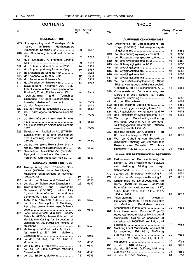### **CONTENTS INHOUD**

| No.        |                                                                                | Page<br>No. | Gazette<br>No. |
|------------|--------------------------------------------------------------------------------|-------------|----------------|
|            | <b>GENERAL NOTICES</b>                                                         |             |                |
| 609        | Town-planning and Townships Ordi-<br>nance (15/1986): Hartbeespoort            |             |                |
| 610        | Amendment Scheme 369<br>do.: Rustenburg Amendment Scheme                       | 8           | 6553           |
| 611        | do.: Rustenburg Amendment Scheme                                               | 8           | 6553           |
| 612        | do.: Brits Amendment Scheme 1/555                                              | 9<br>10     | 6553<br>6553   |
| 613        | do.: Brits Amendment Scheme 1/556                                              | 10          | 6553           |
| 614        | do.: Amendment Scheme 479                                                      | 11          | 6553           |
| 615        | do.: Amendment Scheme 482                                                      | 12          | 6553           |
| 616        | do.: Amendment Scheme 484                                                      | 12          | 6553           |
| 617        | do.: Amendment Scheme 485                                                      | 13          | 6553           |
| 619        | Development Facilitation Act,<br>1995:                                         |             |                |
|            | Establishment of land development area:                                        |             |                |
|            | Portion 6, Erf 64, Potchefstroom, IQ                                           | 14          | 6553           |
| 620        | Town-planning<br>and<br>Townships                                              |             |                |
|            | Ordinance (15/1986): Establishment of                                          |             |                |
|            | township; Marikana Extension 5                                                 | 14          | 6553           |
| 621<br>622 | do.: do.: Blaauwbank<br>do.: do.: Mooinooi Extension 8                         | 16<br>16    | 6553<br>6553   |
| 623        | do.: Swartruggens Amendment Scheme                                             |             |                |
|            |                                                                                | 18          | 6553           |
| 624        | do.: Potchefstroom Amendment Scheme                                            |             |                |
| 625        | do.: Potchefstroom Amendment Scheme                                            | 18          | 6553           |
|            |                                                                                | 19          | 6553           |
| 626        | Development Facilitation Act (67/1995):<br>Establishment of a land development |             |                |
|            | area: Remaining Extent of the farm Ifafi                                       |             |                |
| 627        | do.: do.: Remaining Extent of Portions 77                                      | 20          | 6553           |
| 628        | and 83, farm Lindleyspoort 220 JP<br>Removal of Restrictions Act (84/1967):    | 22          | 6553           |
|            | Removal of conditions: Remainder of                                            |             |                |
|            | Portion 87, farm Rietfontein 458 JQ                                            | 21          | 6553           |
|            | <b>LOCAL AUTHORITY NOTICES</b>                                                 |             |                |
| 469        | Town-planning and Townships Ordi-                                              |             |                |
|            | nance (15/1986): Local Municipality of<br>Madibeng: Establishment of township: |             |                |
|            |                                                                                | 24          | 6553           |
| 47U        | do.: do.: do.: Scheerpoort Extension 1                                         | 25          | 6553           |
| 471        | do.: do.: do.: Scheerpoort Extension 2                                         | 26          | 6553           |
| 480        | and<br>Town-planning<br>Townships                                              |             |                |
|            | Ordinance (15/1986): Tlokwe<br>– City                                          |             |                |
|            | Council:<br>Potchefstroom Amendment                                            |             |                |
|            | Schemes 897, 1387, 1392, 1411, 1431,                                           |             |                |
|            | 1445, 1447, 1459 and 1466                                                      | 28          | 6553           |
| 481        | do.: Local Municipality of Madibeng:<br>Peri-Urban Areas Amendment Scheme      |             |                |
|            |                                                                                | 29          | 6553           |
| 482        | Local Government: Municipal Property                                           |             |                |
|            | Rates Act (6/2004): Moses Kotane Local                                         |             |                |
|            | Municipality: Calling for inspection of                                        |             |                |
|            | valuation roll 2008/2012 and lodging of                                        |             |                |
|            |                                                                                | 30          | 6553           |
| 483        | Mafikeng Local Municipality: Application                                       |             |                |
|            | rezoning: Erf 9611, Mafikeng<br>for                                            |             |                |
|            | do.: do.: Erf 349, Cul 13, Unit 2,                                             | 30          | 6553           |
| 484        |                                                                                | 30          | 6553           |
| 485        | do.; do.: Erf 818, Mafikeng                                                    | 31          | 6553           |
| 486        | do.: do.: Erf 6488, Golfview, Mafikeng                                         |             |                |
|            |                                                                                | 31          | 6553           |
| 487        | do.: do.: Erf 2643, Mafikeng                                                   | 31          | 6553           |

| Page<br>No. | Gazette<br>No. | No.        |                                                                        | Bladsy<br>No. | Koerant<br>No. |
|-------------|----------------|------------|------------------------------------------------------------------------|---------------|----------------|
|             |                |            | <b>ALGEMENE KENNISGEWINGS</b>                                          |               |                |
|             |                | 609        | Ordonnansie op Dorpsbeplanning en                                      |               |                |
| 8           | 6553           |            | Dorpe (15/1986): Hartbeespoort-wysi-                                   |               |                |
|             |                |            |                                                                        | 8             | 6553           |
| 8           | 6553           | 610<br>611 | do.: Rustenburg-wysigingskema 539<br>do.: Rustenburg-wysigingskema 540 | 9<br>9        | 6553<br>6553   |
|             |                | 612        | do.: Brits-wysigingskema 1/555                                         | 10            | 6553           |
| 9           | 6553           | 613        | do.: Brits-wysigingskema 1/556                                         | 11            | 6553           |
| 10          | 6553           | 614        | do.: Wysigingskema 479                                                 | 11            | 6553           |
| 10          | 6553           | 615        | do.: Wysigingskema 482                                                 | 12            | 6553           |
| 11          | 6553           | 616        | do.: Wysigingskema 484                                                 | 13            | 6553           |
| 12          | 6553           | 617        | do.: Wysigingskema 485                                                 | 13            | 6553           |
| 12<br>13    | 6553<br>6553   | 619        | Wet op Ontwikkelingsfasilitering, 1995:                                |               |                |
|             |                |            | Stigting van grondontwikkelingsgebied:                                 |               |                |
|             |                |            | Gedeelte 6, Erf 64, Potchefstroom, tQ                                  | 14            | 6553           |
| 14          | 6553           | 620        | Ordonnansie op Dorpsbeplanning en                                      |               |                |
|             |                |            | Dorpe (15/1986): Stigting van dorp:                                    |               |                |
|             |                |            | Marikana-uitbreiding 5                                                 | 15            | 6553           |
| 14          | 6553           | 621        | do.: do.: Blaauwbank                                                   | 16            | 6553           |
| 16          | 6553           | 622        | do.: do.: Mooinooi-uitbreiding 8                                       | 17            | 6553           |
| 16          | 6553           | 623        | do.: Swartruggens-wysigingskema 51                                     | 18            | 6553           |
|             |                | 624        | do.: Potchefstroom-wysigingskema 1576                                  | 19            | 6553           |
| 18          | 6553           | 625        | do.: Potchefstroom-wysigingskema 1577                                  | 19            | 6553           |
|             |                | 626        | Ontwikkelingsfasilitering<br>Wet<br>op                                 |               |                |
| 18          | 6553           |            | (67/1995): Vestiging van 'n grondont-                                  |               |                |
| 19          | 6553           |            | wikkelingsgebied: Resterende Gedeelte                                  | 20            |                |
|             |                | 627        | van die plaas Ifafi 457 JQ<br>do.: do.: Restant van Gedeeltes 77 en    |               | 6553           |
|             |                |            | 83, plaas Lindleyspoort 220 JP                                         | 23            | 6553           |
|             |                | 628        | Wet op Opheffing van Beperkings                                        |               |                |
| 20          | 6553           |            | (84/1967): Opheffing van voorwaardes:                                  |               |                |
|             |                |            | Gedeelte<br>van<br>87.<br>Restant<br>plaas                             |               |                |
| 22          | 6553           |            |                                                                        | 21            | 6553           |
|             |                |            | PLAASLIKE BESTUURSKENNISGEWINGS                                        |               |                |
| 21          | 6553           | 469        | Ordonnansie op Dorpsbeplanning en                                      |               |                |
|             |                |            | Dorpe (15/1986): Plaaslike Munisipaliteit                              |               |                |
|             |                |            | Madibeng: Stigting van dorp:<br>van                                    |               |                |
|             |                |            |                                                                        | 24            | 6551           |
|             |                | 470        | do.: do.: do.: Scheerpoort-uitbreiding 1                               | 26            | 6551           |
| 24          | 6553           | 471        | do.: do.: do.: Scheerpoort-uitbreiding 2                               | 27            | 6551           |
| 25          | 6553           | 480        | Ordonnansie op Dorpsbeplanning en                                      |               |                |
| 26          | 6553           |            | Dorpe (15/1986): Tlokwe Stadsraad:                                     |               |                |
|             |                |            | Potchefstroom-wysigingskemas<br>897.                                   |               |                |
|             |                |            | 1387, 1392, 1411, 1431, 1445, 1447,                                    |               |                |
|             |                |            |                                                                        | 28            | 6553           |
|             |                | 481        | and<br>Townships<br>Town-planning                                      |               |                |
| 28          | 6553           |            | Ordinance (15/1986): Local Municipality                                |               |                |
|             |                |            | Madibeng:<br>Peri-Urban<br>Areas<br>of                                 |               |                |
| 29          | 6553           |            | Amendment Scheme 2070                                                  | 29            | 6553           |
|             |                | 482        | Local Government: Municipal Property                                   |               |                |
|             |                |            | Rates Act (6/2004): Moses Kotane Local                                 |               |                |
|             |                |            | Municipality: Calling for inspection of                                |               |                |
|             |                |            | valuation roll 2008/2012 and lodging of                                |               |                |
| 30          | 6553           |            |                                                                        | 30            | 6553           |
|             |                | 483        | Mafikeng Local Municipality: Application                               |               |                |
|             |                |            | for rezoning: Erf 9611, Mafikeng                                       | 30            | 6553           |
| 30          | 6553           | 484        | do.: do.: Erf 349, Cui 13, Unit 2,                                     |               |                |
|             |                |            |                                                                        | 30            | 6553           |
| 30<br>31    | 6553<br>6553   | 485        | do.: do.: Erf 818, Mafikeng                                            | 31            | 6553           |
|             |                | 486        | do.: do.: Erf 6488, Golfview, Mafikeng                                 |               |                |
| 31          | 6553           |            |                                                                        | 31            | 6553           |
| 31          | 6553           | 487        | do.: do.: Erf 2643. Mafikeng                                           | 31            | 6553           |

do.: do.: Erf 2643, Mafikeng.................... 31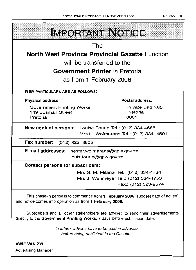| <b>IMPORTANT NOTICE</b>                                                                                                                                       |                                        |  |  |
|---------------------------------------------------------------------------------------------------------------------------------------------------------------|----------------------------------------|--|--|
|                                                                                                                                                               |                                        |  |  |
| The                                                                                                                                                           |                                        |  |  |
| <b>North West Province Provincial Gazette Function</b>                                                                                                        |                                        |  |  |
| will be transferred to the                                                                                                                                    |                                        |  |  |
| <b>Government Printer</b> in Pretoria                                                                                                                         |                                        |  |  |
| as from 1 February 2006                                                                                                                                       |                                        |  |  |
| <b>NEW PARTICULARS ARE AS FOLLOWS:</b>                                                                                                                        |                                        |  |  |
| <b>Physical address:</b>                                                                                                                                      | Postal address:                        |  |  |
| <b>Government Printing Works</b><br>149 Bosman Street<br>Pretoria                                                                                             | Private Bag X85<br>Pretoria<br>0001    |  |  |
| <b>New contact persons:</b> Louise Fourie Tel.: (012) 334-4686<br>Mrs H. Wolmarans Tel.: (012) 334-4591                                                       |                                        |  |  |
| Fax number: (012) 323-8805                                                                                                                                    |                                        |  |  |
| E-mail addresses: hester.wolmarans@gpw.gov.za<br>louis.fourie@gpw.gov.za                                                                                      |                                        |  |  |
| <b>Contact persons for subscribers:</b>                                                                                                                       |                                        |  |  |
|                                                                                                                                                               | Mrs S. M. Milanzi Tel.: (012) 334-4734 |  |  |
|                                                                                                                                                               | Mrs J. Wehmeyer Tel.: (012) 334-4753   |  |  |
|                                                                                                                                                               | Fax.: (012) 323-9574                   |  |  |
| This phase-in period is to commence from 1 February 2006 (suggest date of advert)<br>and notice comes into operation as from 1 February 2006.                 |                                        |  |  |
| Subscribers and all other stakeholders are advised to send their advertisements<br>directly to the Government Printing Works, 7 days before publication date. |                                        |  |  |

In future, adverts have to be paid in advance before being published in the Gazette.

AWIE VAN ZVL Advertising Manager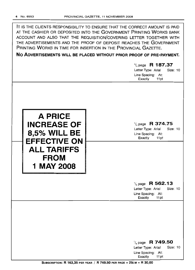| AT THE CASHIER OR DEPOSITED INTO THE GOVERNMENT PRINTING WORKS BANK                                                                       |
|-------------------------------------------------------------------------------------------------------------------------------------------|
| ACCOUNT AND ALSO THAT THE REQUISITION/COVERING LETTER TOGETHER WITH<br>THE ADVERTISEMENTS AND THE PROOF OF DEPOSIT REACHES THE GOVERNMENT |
| PRINTING WORKS IN TIME FOR INSERTION IN THE PROVINCIAL GAZETTE.                                                                           |
| NO ADVERTISEMENTS WILL BE PLACED WITHOUT PRIOR PROOF OF PRE-PAYMENT.                                                                      |

'/4 page **R 187.37** Letter Type: Arial Size: 10 Line Spacing: At: Exactly 11pt '/4 page **R 374.75** Letter Type: Arial Size: 10 Line Spacing: At: Exactly 11 pt **A PRICE INCREASE OF 8,5% WILL BE EFFECTIVE ON ALL TARIFFS FROM 1 MAY 2008** '/4 page **R 562.13** Letter Type: Arial Size: 10 Line Spacing: At:<br>Exactly 11pt Exactly '/4 page **R 749.50** Letter Type: Arial Line Spacing: At: Exactly 11 pt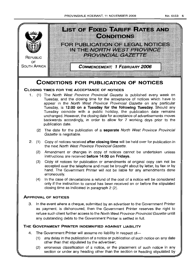

3 In the event where a cheque, submitted by an advertiser to the Government Printer as payment, is dishonoured, then the Government Printer reserves the right to refuse such client further access to the North West Province Provincial Gazette untill any outstanding debts to the Government Printer is settled in full

### **THE GOVERNMENT PRINTER INDEMNIFIED AGAINST LIABILITY**

- 4. The Government Printer will assume no liability in respect of-
	- (1) any delay in the publication of a notice or publication of such notice on any date other than that stipulated by the advertiser;
	- (2) erroneous classification of a notice, or the placement of such notice in any section or under any heading other than the section or heading stipulated by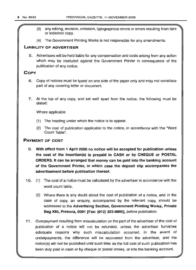- (3) any editing, revision, omission, typographical errors or errors resulting from faint or indistinct copy.
- (4) The Government Printing Works is not responsible for any amendments.

#### **LIABILITY OF ADVERTISER**

5. Advertisers will be held liable for any compensation and costs arising from any action which may be instituted against the Government Printer in consequence of the publication of any notice.

### **COpy**

- 6. Copy of notices must be typed on one side of the paper only and may not constitute part of any covering letter or document.
- 7. At the top of any copy, and set well apart from the notice, the following must be stated:

Where applicable

- (1) The heading under which the notice is to appear.
- (2) The cost of publication applicable to the notice, in accordance with the "Word Count Table".

### **PAYMENT OF COST**

- 9. **With effect from 1 April 2005 no notice will be accepted for publication unless the cost of the insertion(s) is prepaid in CASH or by CHEQUE or POSTAL ORDERS. It can be arranged that money can be paid into the banking account of the Government Printer, in which case the deposit slip accompanies the advertisement before publication thereof.**
- 10. (1) The cost of a notice must be calculated by the advertiser in accordance with the word count table.
	- (2) Where there is any doubt about the cost of publication of a notice, and in the case of copy, an enquiry, accompanied by the relevant copy, should be addressed to the **Advertising Section, Government Printing Works, Private Bag X85, Pretoria, 0001 [Fax: (012) 323-8805],** before publication.
- **11.** Overpayment resulting from miscalculation on the part of the advertiser of the cost of publication of a notice will not be refunded, unless the advertiser furnishes adequate reasons why such miscalculation occurred. In the event of underpayments, the difference will be recovered from the advertiser, and the notice(s) will not be published until such time as the full cost of such publication has been duly paid in cash or by cheque or postal orders, or into the banking account.

\_//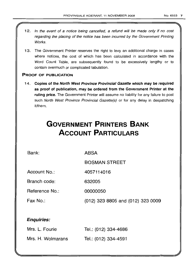- 12. In the event of a notice being cancelled, a refund will be made only if no cost regarding the placing of the notice has been incurred by the Government Printing Works.
- 13. The Government Printer reserves the right to levy an additional charge in cases where notices, the cost of which has been calculated in accordance with the Word Count Table, are subsequently found to be excessively lengthy or to contain overmuch or complicated tabulation.

### PROOF OF PUBLICATION

14. Copies of the North West Province Provincial Gazette which may be required as proof of publication, may be ordered from the Government Printer at the ruling price. The Government Printer will assume no liability for any failure to post such North West Province Provincial Gazette(s) or for any delay in despatching it/them.

# **GOVERNMENT PRINTERS BANK ACCOUNT PARTICULARS**

Bank:

ABSA

BOSMAN STREET

Account No.: 4057114016

Branch code: 632005

Reference No.: 00000050

Fax No.: (012) 323 8805, and (012) 323 0009

### Enquiries:

| Mrs. L. Fourie    | Tel.: (012) 334-4686 |
|-------------------|----------------------|
| Mrs. H. Wolmarans | Tel.: (012) 334-4591 |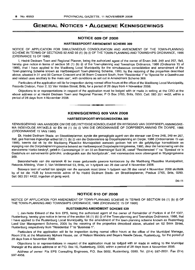### **GENERAL NOTICES • ALGEMENE KENNISGEWINGS**

#### **NOTICE 609 OF 2008**

#### **HARTBEESPOORT AMENDMENT SCHEME** 369

NOTICE OF APPLICATION FOR SIMULTANEOUS CONSOLIDATION AND AMENDMENT OF THE TOWN-PLANNING SCHEME IN TERMS OF SECTIONS 92 AND 56 (1) (b) (i) OF THE TOWN-PLANNING AND TOWNSHIPS ORDINANCE, 1986 (ORDINANCE 15 OF 1986)

I. Hedré Dednam Town and Regional Planner, being the authorized agent of the owner of Erven 248, 249 and 257, Ifafi, hereby give notice in terms of section 56 (1) (b) (i) of the Town-planning and Townships Ordinance, 1986 (Ordinance 15 of 1986), that I have applied to the Madibeng Local Municipality for the simultaneous consolidation and amendment of the Town-planning Scheme known as Hartbeespoort Town-planning Scheme, 1993, by the rezoning of the properties described above, situated in 31 and 33 Cannon Crescent and 36 Boem Crescent South, from "Residential 1" to "Special for a Guesthouse and related uses ancillary to the main use", with conditions as set out in Amendment Scheme 369.

Particulars of the application will lie for inspection during normal office hours at the office of the Madibeng Local Municipality, Records Division, Floor 2, 53 Van Velden Street, Brits, for a period of 28 days from 4 November 2008.

Objections to or representations in respect of the application must be lodged with or made in writing at the CEO at the above address or at Hedre Dednam Town and Regional Planner, POBox 3765, Brits, 0250. Cell: 083 251 4432, within a period of 28 days from 4 November 2008. .**-.**

#### **KENNISGEWING 609 VAN 2008**

#### **HARTBEESPOORT-WYSIGINGSKEMA** 369

KENNISGEWING VAN AANSOEK OM DIE GELYKTYDIGE KONSOLIDASIE EN WYSIGING VAN DORPSBEPLANNINGSKE-MA INGEVOLGE ARTIKELS 92 EN 56 (1) (b) (i) VAN DIE ORDONNANSIE OP DORPSBEPLANNING EN DORPE, 1986 (ORDONNANSIE 15 VAN 1986)

Ek, Hedre Dednam Stads- en Streekbeplanner, synde die gemagtigde agent van die eienaar van Erwe 248, 249 en 257, Ifafi, gee hiermee ingevolge artikel 56 (1) (b) (i) van die Ordonnansie op Dorpsbeplanning en Dorpe, 1986 (Ordonnansie 15 van 1986), kennis dat ek by die Madibeng Plaaslike Munisipaliteit aansoek gedoen het om die gelyktydige konsolidasie en wysiging van die Dorpsbeplanningskema bekend as Hartbeespoort Dorpsbeplanningskema, 1993, deur die hersonering van die eiendomme hierbo beskryf, geleë in Cannonsingel 31 en 33 en Boemsingel Suid 36, vanaf "Residensieel 1" na "Spesiaal vir 'n Gastehuis en aanverwante gebruike, ondergeskik aan die hoofgebruik", met voorwaardes soos uiteengesit in Wysigingskema 369.

Besonderhede van die aansoek lê ter insae gedurende gewone kantoorure by die Madibeng Plaaslike Munisipaliteit, Rekords Afdeling, Vloer 2, Van Veldenstraat 53, Brits, vir 'n tydperk van 28 dae vanaf 4 November 2008.

Besware teen of vertoë ten opsigte van die aansoek moet binne 'n tydperk van 28 dae vanaf 4 November 2008 skriftelik by of tot die HUB by bovermelde adres of by Hedre Dednam Stads- en Streekbeplanner, Posbus 3765, Brits, 0250. Sel: 083 251 4432, ingedien of gerig word.

04-11

#### **NOTICE 610 OF 2008**

NOTICE OF APPLICATION FOR AMENDMENT OF TOWN-PLANNING SCHEME IN TERMS OF SECTION 56 (1) (b) (i) OF THE TOWN-PLANNING AND TOWNSHIPS ORDINANCE, 1986 (ORDINANCE 15 OF 1986)

#### **RUSTENBURG AMENDMENT SCHEME** 539

I, Jan-Nolte Ekkerd of the firm EPS, being the authorised agent of the owner of Remainder of Portion 4 of Erf 1307, Rustenburg, hereby give notice in terms of the section 56 (1) (b) (i) of the Town-planning and Townships Ordinance, 1986, that I have applied to the Rustenburg Local Municipality, for the amendment of the town-planning scheme known as Rustenburg Land Use Management Scheme, 2005 by the rezoning of the properties described above, situated on 62 Brink Street, Rustenburg respectively from "Residential 1" to "Business 1".

Particulars of the application will lie for inspection during normal office hours at the office of the Municipal Manager, Room 319, at the Missionary Mpheni House, cnr, of Nelson Mandela and Beyers Naude Drives, Rustenburg, for the period of 28 days from 4 November 2008.

Objections to or representations in respect of the application must be lodged with or made in writing to the Municipal Manager at the above address or at P.O. Box 16, Rustenburg, 0300, within a period of 28 days from 4 November 2008.

Address of owner: P/a EPS Consulting Engineers, P.O. Box 5002, Rustenburg, 0300. Tel. (014) 597-2001. Fax (014) 597-4956.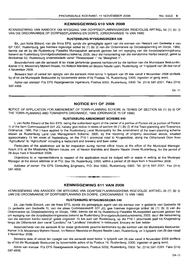#### **KENNISGEWING 610 VAN 2008**

KENNISGEWING VAN AANSOEK OM WYSIGING VAN DORPSBEPLANNINGSKEMA INGEVOLGE ARTIKEL 56 (1) (b) (i) VAN DIE ORDONNANSIE OP DORPSBEPLANNING EN DORPE, (ORDONNANSIE 15 VAN 1986)

#### **RUSTENBURG-WYSIGINGSKEMA** 539

Ek, Jan-Nolte Ekkerd, van die firma EPS, synde die gemagtigde agent van die eienaar van Restant van Gedeelte 4 van Erf 1307, Rustenburg, gee hiermee ingevolge artikel 56 (1) (b) (i) van die Ordonnansie op Dorpsbeplanning en Dorpe, 1986, kennis dat ek by die Rustenburg Plaaslike Munisipaliteit aansoek gedoen het om wysiging van die dorpsbeplanningskema bekend as Rustenburg Grondgebruiksbestuursskema, 2005, deur die hersonering van die eiendomme hierbo beskryf, geleë te Brinkstraat 62, Rustenburg onderskeidelik vanaf "Residensieel 1" na "Besigheid 1".

Besonderhede van die aansoek lê ter insae gedurende gewone kantoorure by die kantoor van die Munisipale Bestuurder, Kamer 319, Missionary Mpheni House, h/y Nelson Mandela en Beyers Naude Laan, Rustenburg, vir 'n tydperk van 28 dae vanaf 4 November 2008.

Besware teen of vertoë ten opsigte van die aansoek moet binne 'n tydperk van 28 dae vanaf 4 November 2008 skriftelik by of tot die Munlsipale Bestuurder by bovermelde adres of by Posbus 16, Rustenburg, 0300, ingedien of gerig word.

Adres van eienaar: P/a EPS Raadgewende Ingenieurs, Posbus 5002, Rustenburg, 0300, Tel. (014) 597-2001, Faks (014) 597-4956.

 $04 - 11$ 

#### **NOTICE 611 OF 2008**

NOTICE OF APPLICATION FOR AMENDMENT OF TOWN-PLANNING SCHEME IN TERMS OF SECTION 56 (1) (b) (i) OF THE TOWN-PLANNING AND TOWNSHIPS ORDINANCE, 1986 (ORDINANCE 15 OF 1986)

#### **RUSTENBURG AMENDMENT SCHEME** 540

I, Jan-Nolte Ekkerd of the firm EPS, being the authorised agent of the owner of a portion of Portion 49 (a portion of Portion 1) of the farm Commissiesdrift 327 JQ, hereby give notice in terms of section 56 (1) (b) (i) of the Town-planning and Townships Ordinance, 1986, that I have applied to the Rustenburg Local Municipality for the amendment of the town-planning scheme known as Rustenburq Land Use Management Scheme, 2005, by the rezoning of property described above, situated approximately 15 km south of Rustenburg, on the P16-1 provincial road to Krugersdorp, along the Olifantsnek Dam from "Agricultural" to "Agricultural" including a restaurant and brewery and beer cellar.

Particulars of the application will lie for inspection during normal office hours at the office of the Municipal Manager, Room 319, at the Missionary Mpheni House, em. of Nelson Mandela and Beyers Naude Drives Rustenburg, for the period of 28 days from 4 November 2008.

Objections to or representations in respect of the application must be lodged with or made in writing at the Municipal Manager at the above address or at P.O. Box 16, Rustenburg, 0300, within a period of 28 days from 4 November 2008.

Address of owner: Pia EPS Consulting Engineers, P.O. Box 5002, Rustenburg, 0300. Tel. (014) 597-2001. Fax (014) 597-4956. .**- .**

#### **KENNISGEWING 611 VAN 2008**

KENNISGEWING VAN AANSOEK OM WYSIGING VAN DORPSBEPLANNINGSKEMA INGEVOLGE ARTIKEL 56 (1) (b) (i) VAN DIE ORDONNANSIE OP DORPSBEPLANNING EN DORPE, (ORDONNANSIE 15 VAN 1986)

#### **RUSTENBURG-WYSIGINGSKEMA** 540

Ek, Jan-Nolte Ekkerd, van die firma EPS, synde die gemagtigde agent van die eienaar van 'n gedeelte van Gedeelte 49 ('n gedeelte van Gedeelte 1), van die plaas Commissiesdrift 327 JQ, gee hiermee ingevolge artikel 56 (1) (b) (i) van die Ordonnansie op Dorpsbeplanning en Dorpe, 1986, kennis dat ek by Rustenburg Plaaslike Munisipaliteit aansoek gedoen het om wysiging van die dorpsbeplanningskema bekend as Rustenburg Grondgebruiksbestuursskema, 2005, deur die hersonering van die eiendom hierbo beskryf, gelee ongeveer 15 km suid van Rustenburg, op die P16-1 provinsiale pad na Krugersdorp langs die Olifantsnek dam vanaf "Landbou" na "Landbou" insluitend 'n restaurant, brouery en bier kelder.

Besonderhede van die aansoek lê ter insae gedurende gewone kantoorure by die kantoor van die Munisipale Bestuurder, Kamer 319, Missionary Mpheni House, h/y Nelson Mandela en Beyers Naude Laan, Rustenburg, vir 'n tydperk van 28 dae vanaf 4 November 2008.

Besware teen of vertoë ten opsigte van die aansoek moet binne 'n tydperk van 28 dae vanaf 4 November 2008 skriftelik by of tot die Munisipale Bestuurder by bovermelde adres of by Posbus 16, Rustenburg, 0300, ingedien of gerig word.

Adres van eienaar: P/a EPS Raadgewende Ingenieurs, Posbus 5002, Rustenburg, 0300. Tel. (014) 597-2001. Faks (014) 597-4956.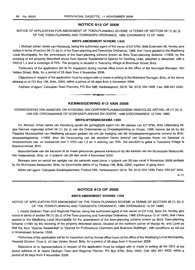#### **NOTICE 612 OF 2008**

NOTICE OF APPLICATION FOR AMENDMENT OF TOWN-PLANNING SCHEME IN TERMS OF SECTION 56 (1) (b) (i) OF THE TOWN-PLANNING AND TOWNSHIPS ORDINANCE, 1986 (ORDINANCE 15 OF 1986)

#### **BRITS AMENDMENT SCHEME** 1/555

I, Michael Johan Janse van Rensburg, being the authorised agent of the owner of Erf 3794, Brits Extension 96, hereby give notice in terms of section 56 (1) (b) (i) of the Town-planning and Townships Ordinance, 1986, that I have applied to the Madibeng Local Municipality, for the amendment of the town-planning scheme known as Brits Town-planning Scheme 1/1958, by the rezoning of the property described above from Special Residential to Special for Dwelling Units, attached or detached, with a FAR of 1.2 and a coverage of 70%. The property is situated in Tuscanny Village at Boerboon Street, Brits.

Particulars of the application will lie for inspection during normal office hours at the office of the Municipal Manager, Van Velden Street, Brits, for a period of 28 days from 4 November 2008.

Objections in respect of the application must be lodged with or made in writing to the Municipal Manager, Brits, at the above address or at PO Box 106, Brits, 0250, within a period of 28 days from 4 November 2008.

Address of agent: Calcuplan Town Planners, PO Box 598, Hartbeespoort, 0216. Tel: (012) 504-1938. Fax: 086 647 2640.

#### **KENNISGEWING 612 VAN 2008**

**• •**

KENNISGEWING VAN AANSOEK OM WYSIGING VAN DORPSBEPLANNINGSKEMA INGEVOLGE ARTIKEL 56 (1) (b) (i) VAN DIE ORDONNANSIE OP DORPSBEPLANNING EN DORPE, 1986 (ORDONNANSIE 15 VAN 1986)

#### **BRITS-WYSIGINGSKEMA** 1/555

Ek, Michael Johan Janse van Rensburg synde die gemagtigde agent van die eienaar van Erf 3794, Brits Uitbreiding 96, gee hiermee ingevolge artikel 56 (1) (b) (i) van die Ordonnansie op Dorpsbeplanning en Dorpe, 1986, kennis dat ek by die Plaaslike Munisipaliteit van Madibeng aansoek gedoen het om die wysiging van die dorpsbeplanningskema bekend as Britsdorpsaanlegskema, 1/1958, deur die hersonering van die eiendom hierbo beskryf van Spesiale Woon na Spesiaal vir Wooneenhede vas- en losstaande met 'n VOV van 1.2 en 'n dekking van 70%. Die eiendom is gelee in Tuscanny Village te Boerboonstraat, Brits.

Besonderhede van die aansoek lê ter insae gedurende gewone kantoorure by die kantoor van die Munisipale Bestuurder, Van Veldenstraat, Brits, vir 'n tydperk van 28 dae vanaf 4 November 2008.

Besware teen en vertoe ten opsigte van die aansoek moet binne 'n tydperk van 28 dae vanaf 4 November 2008 skriftelik by die Munisipale Bestuurder, Brits, by bovermelde adres of by Posbus 106, Brits, 0250, ingedien of gerig word.

Adres van agent: Calcuplan Stadsbeplanners, Posbus 598, Hartbeespoort, 0216. Tel: (012) 504-1938. Faks: 086647 2640.

 $4 - 11$ 

#### **NOTICE 613 OF 2008**

#### **BRITS AMENDMENT SCHEME** 1/556

NOTICE OF APPLICATION FOR AMENDMENT OF THE TOWN-PLANNING SCHEME IN TERMS OF SECTION 56 (1) (b) (i) OF THE TOWN-PLANNING AND TOWNSHIPS ORDINANCE, 1986 (ORDINANCE 15 OF 1986)

I, Hedré Dednam Town and Regional Planner, being the authorized agent of the owner of Erf 1136, Brits X4, hereby give notice in terms of section 56 (1) (b) (i) of the Town-planning and Townships Ordinance, 1986 (Ordinance 15 of 1986), that I have applied to the Madibeng Local Municipality for the amendment of the town-planning scheme known as Brits Town-planning Scheme 1/1985 by the rezoning of the property described above, situated on the northern corner of Martjie Av. and Carel de Wet Rd, from "Special Residential" to "Special for Professional Chambers and Business Buildings", with conditions as set out in Amendment Scheme 1/556.

Particulars of the application will lie for inspection during normal office hours at the office of the Madibeng Local Municipality, Records Division, Floor 2, 53 Van Velden Street, Brits, for a period of 28 days from 4 November 2008.

Objections to or representations in respect of the application must be lodged with or made in writing at the CEO at the above address or at Hedre Dednam Town and Regional Planner, PO Box 3765, Brits, 0250, Cell: 083 251 4432, within a period of 28 days from 4 November 2008.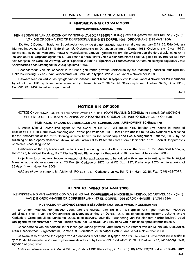#### KENNISGEWING 613 VAN 2008

#### BRITS·WYSIGINGSKEMA 1/556

KENNISGEWING VAN AANSOEK OM WYSIGING VAN DORPSBEPLANNINGSKEMA INGEVOLGE ARTIKEL 56 (1) (b) (i) VAN DIE ORDONNANSIE OP DORPSBEPLANNING EN DORPE, 1986 (ORDONNANSIE 15 VAN 1986)

Ek, Hedré Dednam Stads- en Streekbeplanner, synde die gemagtigde agent van die eienaar van Erf 1136, Britx X4, gee hiermee ingevolge artikel 56 (1) (b) (i) van die Ordonnansie op Dorpsbeplanning en Dorpe, 1986 (Ordonnansie 15 van 1986), kennis dat ek by die Madibeng Plaaslike Munisipaliteit aansoek gedoen het om die wysiging van die dorpsbeplanningskerna bekend as Brits-dorpsaanlegskema 1/1958 deur die hersonering van die eiendom hierbo beskryf, geleë op die noordelike hoek van Martjieln. en Carel de Wetweg, vanaf "Spesiale Woon" na "Spesiaal vir Professionele Kamers en Besigheidsgeboue", met voorwaardes soos uiteengesit in Wysigingskema 1/556.

Besonderhede van die aansoek lê ter insae gedurende gewone kantoorure by die Madibeng Plaaslike Munisipaliteit, Rekords Afdeling, Vloer 2, Van Veldenstraat 53, Brits, vir 'n tydperk van 28 dae vanaf 4 November 2008.

Besware teen en vertoe ten opsigte van die aansoek moet binne 'n tydperk van 28 dae vanaf 4 November 2008 skriftelik by of tot die HUB by bovermelde adres of by Hedre Dednam Stads- en Streekbeplanner, Posbus 3765, Brits, 0250, Sel: 083 251 4432, ingedien of gerig word.

 $4 - 11$ 

#### NOTICE 614 OF 2008

NOTICE OF APPLICATION FOR THE AMENDMENT OF THE TOWN-PLANNING SCHEME IN TERMS OF SECTION 56 (1) (b) (i) OF THE TOWN-PLANNING AND TOWNSHIPS ORDINANCE, 1986 (ORDINANCE 15 OF 1986)

#### KLERKSDORP LAND USE MANAGEMENT SCHEME, 2005: AMENDMENT SCHEME 479

I, Anton Mitchell, authorized agent of the owner of Erf 912, Wilkoppies X18, hereby give notice in terms of section 56 (1) (b) (i) of the Town-planning and Townships Ordinance, 1986, that I have applied to the City Council of Matlosana for the amendment of the town-planning scheme known as the Klerksdorp Land Use Management Scheme, 2005, by the rezoning of the property described above, situated adjacent to 43 Ametis Street from "Residential 1" to "Special" for purposes of medical consulting rooms.

Particulars of the application will lie for inspection during normal office hours at the office of the Municipal Manager, Room 128, Municipal Building, Bram Fischer Street, Klerksdorp, for the period of 28 days from 4 November 2008.

Objections to or representations in respect of the application must be lodged with or made in writing to the Municipal Manager at the above address or at PO Box 99, Klerksdorp, 2570, or at PO Box 1237, Klerksdorp, 2570, within a period of 28 days from 4 November 2008.

Address of owner's agent: Mr A Mitchell, PO Box 1237, Klerksdorp, 2570. Tel: (018) 462-1122/55. Fax: (018) 462-7077.

#### KENNISGEWING 614 VAN 2008

**•**

KENNISGEWING VAN AANSOEK OM WYSIGING VAN DORPSBEPLANNINGSKEMA INGEVOLGE ARTIKEL 56 (1) (b) (i) VAN DIE ORDONNANSIE OP DORPSBEPLANNING EN DORPE, 1986 (ORDONNANSIE 15 VAN 1986)

#### KL.ERKSDORP GRONDGEBRUIKBESTUURSKEMA, 2005: WYSIGINGSKEMA 479

Ek, Anton Mitchell, gemagtigde agent van die eienaar van Erf 912, Wilkoppies X18, gee hiermee ingevolge artikel 56 (1) (b) (i) van die Ordonnansie op Dorpsbeplanning en Dorpe, "1986, die dorpsbeplanningskema bekend as die Klerksdorp Grondgebruikbestuurskema, 2005, soos gewysig, deur die hersonering van die eiendom hierbo beskryf, geleë aanliggend tot Ametisstraat 43 vanaf "Residensieel" tot "Spesiaal" vir doeleindes van 'n mediese spreekkamer praktyk.

Besonderhede van die aansoek lê ter insae gedurende gewone kantoorure by die kantoor van die Munisipale Bestuurder, Bram Fischerstraat, Burgersentrum, Kamer 128, Klerksdorp, vir 'n tydperk van 28 dae vanaf 4 November 2008.

Besware teen of vertoe ten opsigte van die aansoek moet binne 'n tydperk van 28 dae vanaf 4 November 2008 skriftelik by of tot die Munisipale Bestuurder by bovermelde adres of by Posbus 99, Klerksdorp, 2570, of Posbus 1237, Klerksdorp, 2570, ingedien of gerig word.

Adres van eienaar se agent: Mm. A Mitchell, Posbus 1237, Klerksdorp, 2570. Tel: (018) 462-1122/55. Faks: (018) 462-7077.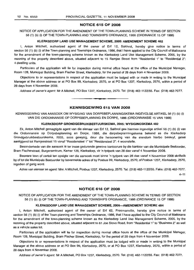#### **NOTICE 615 OF 2008**

NOTICE OF APPLICATION FOR THE AMENDMENT OF THE TOWN-PLANNING SCHEME IN TERMS OF SECTION 56 (1) (b) (i) OF THE TOWN-PLANNING AND TOWNSHIPS ORDINANCE, 1986 (ORDINANCE 15 OF 1986)

#### **KLERKSDORP LAND USE MANAGEMENT SCHEME, 2005: AMENDMENT SCHEME 482**

I, Anton Mitchell, authorized agent of the owner of Erf 12, Sakhrol, hereby give notice in terms of section 56 (1) (b) (i) of the Town-planning and Townships Ordinance, 1986, that I have applied to the City Council of Matlosana for the amendment of the town-planning scheme known as the Klerksdorp Land Use Management Scheme, 2005, by the rezoning of the property described above, situated adjacent to 15 Ramjee Street from "Residential 1" to "Residential 2": 4 dwelling units.

Particulars of the application will lie for inspection during normal office hours at the office of the Municipal Manager, Room 128, Municipal Building, Bram Fischer Street, Klerksdorp, for the period of 28 days from 4 November 2008.

Objections to or representations in respect of the application must be lodged with or made in writing to the Municipal Manager at the above address or at PO Box 99, Klerksdorp, 2570, or at PO Box 1237, Klerksdorp, 2570, within a period of 28 days from 4 November 2008.

Address of owner's agent: Mr A Mitchell, PO Box 1237, Klerksdorp, 2570. Tel: (018) 462-1122/55. Fax: (018) 462-7077.

#### **KENNISGEWING 615 VAN 2008**

**•**

KENNISGEWING VAN AANSOEK OM WYSIGING VAN DORPSBEPLANNINGSKEMA INGEVOLGE ARTIKEL 56 (1) (b) (i) VAN DIE ORDONNANSIE OP DORPSBEPLANNING EN DORPE, 1986 (ORDONNANSIE 15 VAN 1986)

#### **KLERKSDORP GRONDGEBRUIKBESTUURSKEMA, 2005: WYSIGINGSKEMA 482**

Ek, Anton Mitchell gemagtigde agent van die eienaar van Erf 12, Sakhrol gee hiermee ingevolge artikel 56 (1) (b) (i) *van* die Ordonnansie op Dorpsbeplanning en Dorpe, 1986, die dorpsbeplanningskema bekend as die Klerksdorp Grondgebruikbestuurskema, 2005, soos gewysig, deur die hersonering van die eiendom hierbo beskryf, gelee aanliggend tot Ramjeestraat 15 vanaf "Residensieel 1" tot "Residensieel 2": 4 woonstelle.

Besonderhede van die aansoek Ie ter insae gedurende gewone kantoorure by die kantoor van die Munisipale Bestuurder, Bram Fischerstraat, Burgersentrum, Kamer 128, Klerksdorp, vir 'n tydperk van 28 dae vanaf 4 November 2008.

Besware teen of vertoe ten opsigte *van* die aansoek moet binne 'n tydperk van 28 dae vanaf 4 November 2008 skriftelik by of tot die Munisipale Bestuurder by bovermelde adres of by Posbus 99, Klerksdorp, 2570, of Posbus 1237, Klerksdorp, 2570, ingedien of gerig word.

Adres van eienaar se agent: Mnr. A Mitchell, Posbus 1237, K/erksdorp, 2570. Tel: (018) 462-1122/55. Faks: (018) 462-7077.

 $4 - 11$ 

#### **NOTICE 616 OF 2008**

NOTICE OF APPLICATION FOR THE AMENDMENT OF THE TOWN-PLANNING SCHEME IN TERMS OF SECTION 56 (1) (b) (i) OF THE TOWN-PLANNING AND TOWNSHIPS ORDINANCE, 1986 (ORDINANCE 15 OF 1986)

#### **KLERKSDORP LAND USE MANAGEMENT SCHEME, 200S-AMENDMENT SCHEME 484**

I, Anton Mitchell, authorized agent of the owner of Erf 62, Freemanville, hereby give notice in terms of section 56 (1) (b) (i) of the Town-planning and Townships Ordinance, 1986, that I have applied to the City Council of Matlosana for the amendment of the town-planning scheme known as the Klerksdorp Land Use Management Scheme, 2005, by the rezoning of the property described above, situated adjacent to 61 Joe Siovo Road, from "Residential 1" to "Business 2" as well as a vehicle sales lot.

Particulars of the application will lie for inspection during normal office hours at the office of the Municipal Manager, Room 128, Municipal Building, Bram Fischer Street, Klerksdorp, for the period of 28 days from 4 November 2008.

Objections to or representations in respect of the application must be lodged with or made in writing to the Municipal Manager at the above address or at PO Box 99, Klerksdorp, 2570, or at PO Box 1237, Klerksdorp, 2570, within a period of 28 days from 4 November 2008.

Address of owner's agent: Mr A Mitchell, PO Box 1237, Klerksdorp, 2570. Tel: (018) 462-1122/55. Fax: (018) 462-7077.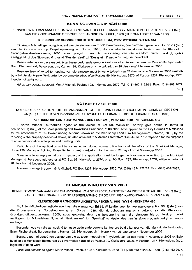#### KENNISGEWING 616 VAN 2008

KENNISGEWING VAN AANSOEK OM WYSIGING VAN DORPSBEPLANNINGSKEMA INGEVOLGE ARTIKEL 56 (1) (b) (i) VAN DIE ORDONNANSIE OP DORPSBEPLANNING EN DORPE, 1986 (ORDONNANSIE 15 VAN 1986)

#### KLERKSDORP GRONDGEBRUIKBESTUURSKEMA, 2005: WYSIGINGSKEMA 484

Ek, Anton Mitchell, gemagtigde agent van die eienaar van Erf 62, Freemanville, gee hiermee ingevolge artikel 56 (1) (b) (i) van die Ordonnansie op Dorpsbeplanning en Dorpe, 1986, die dorpsbeplanningskema bekend as die Klerksdorp Grondgebruikbestuurskema, 2005, soos gewysig, deur die hersonering van die eiendom hierbo beskryf, gelee aanliggend tot Joe Siovoweg 61, vanaf "Residensieel" tot "Besigheid 2" asook 'n motorvertoonlokaal.

Besonderhede van die aansoek lê ter insae gedurende gewone kantoorure by die kantoor van die Munisipale Bestuurder, Bram Fischerstraat, Burgersentrum, Kamer 128, Klerksdorp, vir 'n tydperk van 28 dae vanaf 4 November 2008.

Besware teen of vertoë ten opsigte van die aansoek moet binne 'n tydperk van 28 dae vanaf 4 November 2008 skriftelik by of tot die Munisipale Bestuurder by bovermelde adres of by Posbus 99, Klerksdorp, 2570, of Posbus 1237, Klerksdorp, 2570, ingedien of gerig word.

Adres van eienaar se agent: Mnr. A Mitchell, Posbus 1237, Klerksdorp, 2570. Tel: (018) 462-1122/55. Faks: (018) 462-7077.

 $4 - 11$ 

#### NOTICE 617 OF 2008

NOTICE OF APPLICATION FOR THE AMENDMENT OF THE TOWN-PLANNING SCHEME IN TERMS OF SECTION 56 (b) (i) OF THE TOWN-PLANNING AND TOWNSHIPS ORDINANCE, 1986 (ORDINANCE 15 OF 1986)

#### KLERKSDORP LAND USE MANAGEMENT SCHEME, 2005: AMENDMENT SCHEME 485

I, Anton Mitchell, authorized agent of the owner of Erf 68, Wilkeville, hereby give notice in terms of section 56 (1) (b) (i) of the Town-planning and Townships Ordinance, 1986, that I have applied to the City Council of Matlosana for the amendment of the town-planning scheme known as the Klerksdorp Land Use Management Scheme, 2005, by the rezoning of the property described above, situated adjacent to 5 Mildred Street from "Residential 1" to "Special" for the purposes of an accommodation enterprise and dwelling units.

Particulars of the application will lie for inspection during normal office hours at the office of the Municipal Manager, Room 128, Municipal Building, Bram Fischer Street, Klerksdorp, for the period 28 days from 4 November 2008.

Objections to or representations in respect of the application must be lodged with or made in writing to the Municipal Manager at the above address or at PO Box 99, Klerksdorp, 2570, or at PO Box 1237, Klerksdorp, 2570, within a period of 28 days from 4 November 2008.

Address of owner's agent: Mr A Mitchell, PO Box 1237, Klerksdorp, 2570. Tel: (018) 462-1122/55. Fax: (018) 462-7077. .**- .**

KENNISGEWING 617 VAN 2008

KENNISGEWING VAN AANSOEK OM WYSIGING VAN DORPSBEPLANNINGSKEMA INGEVOLGE ARTIKEL 56 (1) (b) (i) VAN DIE ORDONNANSIE OP DORPSBEPLANNING EN DORPE, 1986 (ORDONNANSIE 15 VAN 1986)

#### KLERKSDORP GRONDGEBRUIKBESTUURSKEMA, 2005: WYSIGINGSKEMA 485

Ek, Anton Mitchell gemagtigde agent van die eienaar van Erf 68, Wilkeville, gee hiermee ingevolge artikel 56 (1) (b) (i) van die Ordonnansie op Dorpsbeplanning en Dorpe, 1986, die dorpsbeplanningskema bekend as die Klerksdorp Grondgebruikbestuurskema, 2005, soos gewysig, deur die hersonering van die eiendom hierbo beskryf, geleë aanliggend tot Mildredstraat 5, vanaf "Residensieel" tot "Spesiaal" vir doeleindes van 'n akkommodasiebedryf en wooneenhede.

Besonderhede van die aansoek lê ter insae gedurende gewone kantoorure by die kantoor van die Munisipale Bestuurder, Bram Fischerstraat, Burgersentrum, Kamer 128, Klerksdorp, vir 'n tydperk van 28 dae vanaf 4 November 2008.

Besware teen of vertoë ten opsigte van die aansoek moet binne 'n tydperk van 28 dae vanaf 4 November 2008 skriftelik by of tot die Munisipale Bestuurder by bovermelde adres of by Posbus 99, Klerksdorp, 2570, of Posbus 1237, Klerksdorp, 2570, ingedien of gerig word.

Adres van eienaar se agent: Mnr A Mitchell, Posbus 1237, Klerksdorp, 2570. Tel: (018) 462-1122/55. Faks: (018) 462-7077.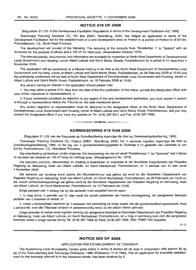#### **NOTICE 619 OF 2008**

[Regulation 21 (10) of the Development Facilitation Regulations in terms of the Development Facilitation Act, 1995]

Townscape Planning Solutions CC, PO Box 20831, Noordbrug, 2522, has lodged an application in terms of the Development Facilitation Act for the establishment of a land development area on Portion 6 (a portion of Portion 4) of Erf 64, Potchefstroom, 1.0., North West Province.

The development will consist of the following: The rezoning of the property from "Residential 1" to "Special" with an Annexure for the purpose of offices and a 100 m<sup>2</sup> for retail area. (Amendment Scheme 1575).

The relevant plan(s), document(s) and information are available for inspection at North West Department of Developmental Local Government and Housing, corner Albert Luthule and Gerrit Maritz Streets, Potchefstroom for a period of 21 days from 4 November 2008.

The application will be considered at a tribunal hearing to be held at the North West Department of Developmental Local Government and Housing, corner of Albert Luthule and Gerrit Maritz Street, Potchefstroom, on 26 February 2009 at 10:00 and the prehearing conference will be held at North West Department of Developmental Local Government and Housing, corner of Albert Luthule and Gerrit Maritz Street, Potchefstroom, on 19 February 2009 at 10:00.

Any person having an interest in the application should please note:

1. You may within a period of 21 days from the date of the first publication of this notice, provide the designated officer with your written objections or representations; or

2. If your comments constitute an objection to any aspect of the land development application, you must appear in person or through a representative before the Tribunal on, the date mentioned above.

Any written objection or representation must be delivered to the designated officer at the North West Department of Developmental Local Government and Housing, corner of Albert Luthule and Gerrit Maritz Street, Potchefstroom, and you may contact the designated officer if you have any queries on Tel: (018) 297-5011 and Fax: (018) 297-7956.



**• •**

[Regulasie 21 (10) van die Regulasie op Grondfasilitering ingevolge die Wet op Ontwikkelingsfasilitering, 1995]

Townscape Planning Solutions CC, Posbus 20831, Noordbrug, 2522, het 'n aansoek ingedien ingevolge die Wet op Ontwikkelingsfasilitering, 1995, vir die stig van 'n grondontwikkelingsgebied te Gedeelte 6 ('n gedeelte van Gedeelte 4) van Ert 64, Potchefstroom, 1.0., Noordwes Provnisie.

Die ontwikkeling sal bestaan uit die volgende: Die hersonering van die ert vanaf "Residensieel 1" na "Spesiaal" met 'n Bylae vir die doel van kantore en 100 m<sup>2</sup> koop en verkoop area. (Wysigingskema No. 1575).

Die betrokke plan(ne), dokument(e) en inligting is beskikbaar vir inspeksie te die Noordwes Departement van Plaaslike Regering en Behuising, hoek van Albert Luthule- en Gerrit Maritzstraat, Potchefstroom, vir 'n periode van 21 dae vanaf 4 November 2008.

Die aansoek sal oorweeg word tydens die tribunaalverhoor wat gehou sal word by die Noordwes Departement van Plaaslike Regering en Behuising, hoek van Albert Luthule- en Gerrit Maritzstraat, Potchefstroom, op 26 Februarie om 10:00 en die vooraf verhoorsamesprekings sal gehou word by die Noordwes Departement van Plaaslike Regering en Behuising, hoek van Albert Luthule- en Gerrit Maritzstraat, Potchefstroom, op 19 Februarie om 10:00.

Enige persoon wat 'n belang het by die aansoek moet asseblief kennis neem:

1. U mag binne 'n periode van 21 dae vanaf die eerste publikasie van hierdie kennisgewing, die aangewese beampte skriftelik van u besware of vertoë; of

2. indien u kommentaar neerkom op 'n beswaar met betrekking tot enige aspek van die grondontwikkelingsaansoek, moet u persoonlik, voor die Tribunaal verskyn of verteenwoordig word, op die datum hierbo genoem.

Enige beswaar of vertoe moet ingeden word by die aangewese beampte te Noordwes Departement van Plaaslike Regering en Behuising, hoek van Albert Luthule- en Gerrit Maritzstraat, Potchefstroom, en u mag in aanraking kom met die aangewese beampte indien u enige navrae het by Tel: (018) 297-7956 en Faks: (018) 297-7956. (Ref: P0887 NW Gazette)

 $4 - 11$ 

#### **NOTICE 620 OF 2008**

#### APPLICATION FOR ESTABLISHMENT OF TOWNSHIP

The Rustenburg Local Municipality, hereby gives notice in terms of section 69 (3) read in conjunction with section 69 (6) (a) of the Town-planning and Townships Ordinance, 1986 (Ordinance 15 of 1986), that an application for township establishment for the township referred to in the Annexure hereto, has been received by it.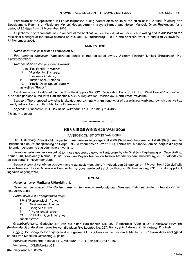Particulars of the application will lie for inspection during normal office hours at the office of the Director Planning and Development, Room 313, Missionary Mpheni House, corner of Beyers Naude- and Nelson Mandela Drive, Rustenburg, for a period of 28 days from 11 November 2008.

Objections to or representations in respect of the application must be lodged with or made in writing and in duplicate to the Municipal Manager at the above address or P.O. Box 16, Rustenburg, 0300, or the applicant within a period of 28 days from 11 November 2008.

#### **ANNEXURE**

#### Name of township: **Marikana Extension 5.**

Full name of applicant: Plancentre on behalf of the registered owner, Western Platinum Limited (Registration No, 1963/003589/06).

Number of erven and proposed township:

1 846 "Residential 1" stands;

- 11 "Residential 2" stands;
- 1 "Business 2" stand;
- 2 "Institutional 2" stands;

73 "Public Open Space" stands;

as well as "Roads".

Land description: Portion 415 of the farm Rooikoppies No. 297, Registration Division JQ, North West Province (comprising of various portions of the farm Rooikoppies No. 297, Registration Division JQ, North West Province).

Location: The proposed township is situated approximately 2 km southwest of the existing Marikana township as well as directly adjacent and south of Marikana Extension 2.

Applicant: Plancentre, P.O. Box 3112, Wilropark, 1731. Tel: (011) 764-4080.

(Notice No. 0809)

#### **KENNISGEWING 620 VAN 2008**

.**- .**

#### AANSOEK OM STIGTING VAN DORP

Die Rustenburg Plaaslike Munisipaliteit, gee hiermee ingevolge artikel 69 (3) saamgelees met artikel 69 (6) (a) van die Ordonnansie op Dorpsbeplanning en Dorpe, 1986 (Ordonnansie 15 van 1986), kennis dat 'n aansoek om die dorp in die Bylae hieronder genoem, te stig deur hom ontvang is.

Besonderhede van die aansoek lê ter insae gedurende gewone kantoorure by die Direkteur Beplanning en Ontwikkeling, Kamer 313, Missionary Mpheni House, hoek van Beyers Naude- en Nelson Mandelarylaan, Rustenburg, vir 'n tydperk van 28 dae vanaf 11 November 2008.

Besware teen of vertoë ten opsigte van die aansoek moet binne 'n tydperk van 28 dae vanaf 11 November 2008 skriftelik en in tweevoud by die Munisipale Bestuurder by bovermelde adres of by Posbus 16, Rustenburg, 0300, of die applikant ingedien of gerig word.

#### **BYLAE**

#### Naam van dorp: **Marikana Uitbreiding 5.**

Naam van aansoeker: PlanCentre namens die geregistreerde eienaar, Western Platinum Limited (Registration No. 1963/003589/06).

Aantal erwe in die voorgestelde dorp:

- 1 846 "Residensieel 1" erwe;
- 11 "Residensieel 2" erwe;
- 1 "Besiqheid 2" erf;
- 2 "Institusioneel" erwe;
- 73 "Publieke Oopruimte" erwe;

asook "Strate".

Grondbeskrywing: Gedeelte 415 van die plaas Rooikoppies No. 297, Registrasie Afdeling JQ, Noordwes Provinsie (bestaande uit onderskeie gedeeltes van die plaas Rooikoppies No. 297, Registrasie Afdeling JQ, Noordwes Provinsie).

Ligging: Die voorgestelde dorpsgebied is ongeveer 2 km suidwes van die bestaande Marikana dorp asook direk aanliggend en suid van Marikana Uitbreiding 2, geleë.

Applikant: Plancentre, Posbus 3112, Wilropark, 1731. Tel: (011) 764-4080.

Verwysing: 13/2/Eldorette x29.

(Kennisgewing No. 0809)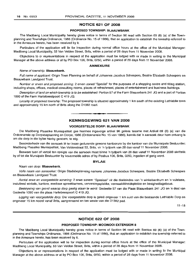#### **NOTICE 621 OF 2008**

#### **PROPOSED TOWNSHIP: BLAAUWBANK**

The Madibeng Local Municipality hereby gives notice in terms of Section 96 read with Section 69 (6) (a) of the Townplanning and Townships Ordinance, 1986 (Ordinance No. 15 of 1986), that an application to establish the township referred to in the Annexure hereto, has been received by it.

Particulars of the application will lie for inspection during normal office hours at the office of the Municipal Manager: Madibeng Local Municipality, 53 Van Velden Street, Brits, within a period of 28 days from 11 November 2008.

Objections to or representations in respect of the application must be lodged with or made in writing to the Municipal Manager at the above address or at by PO Box 106, Brits, 0250, within a period of 28 days from 11 November 2008.

#### **ANNEXURE**

#### Name of township: **Blaauwbank.**

Full name of applicant: Origin Town Planning on behalf of Johannes Jacobus Scheepers, Beatrix Elizabeth Scheepers en Blaauwbank Landgoed Trust.

Number or erven and proposed zoning: 2 erven zoned "Special" for the purposes of a shopping centre and filling station, including shops, offices, medical consulting rooms, places of refreshment, places of entertainment and business buildings.

Description ofland on which township is to be established: Portion 57 of the Farm Blaauwbank 241 JQ and a part of Portion 1090 of the Farm Hartebeestpoort C 419 JQ.

Locality of proposed township: The proposed township is situated approximately 1 km south of the existing Lethlabile town and approximately 15 km north of Brits along the 01382 road.

#### **KENNISGEWING 621 VAN 2008**

**• •**

#### **VOORGESTELDE DORP: BLAAUWBANK**

Die Madibeng Plaaslike Munisipaliteit gee hiermee ingevolge artikel 96 gelees tesame met Artikel 69 (6) (a) van die Ordonnansie op Dorpsbeplanning en Dorpe, 1986 (Ordonnansie No. 15 van 1986), kennis dat 'n aansoek deur hom ontvang is om die dorp in die bylae hierby genoem, te stig.

Besonderhede van die aansoek lê ter insae gedurende gewone kantoorure by die kantoor van die Munisipale Bestuurder: Madibeng Plaaslike Munisipaliteit, Van Veldenstraat 53, Brits, vir 'n tydperk van 28 dae vanaf 11 November 2008.

Besware teen of vertoe ten opsigte van die aansoek moet binne 'n tydperk van 28 dae vanaf 11 November 2008 skriftelik by of tot die Munsipale Bestuurder by bovermelde adres of by Posbus 106, Brits, 0250, ingedien of gerig word.

#### **BYLAE**

#### Naam van dorp: **Blaauwbank.**

Volle naam van aansoeker: Origin Stadsbeplanning namens Johannes Jacobus Scheepers, Beatrix Elizabeth Scheepers en Blaauwbank Landgoed Trust.

Aantal erwe en voorgestelde sonering: 2 erwe soneer "Spesiaal" vir die doeleindes van 'n winkelsentrum en 'n vulstasie, insluitend winkels, kantore, mediese spreekkamers, verversingsplekke, vermaaklikheidsplekke en besigheidsgeboue.

Beskrywing van grond waarop dorp gestig staan te word: Gedeelte 57 van die Plaas Blaauwbank 241 JQ en 'n deel van Gedeelte 1090 van die plaas Hartebeespoort C 419 JQ.

Ligging van voorgestelde dorp: Die voorgestelde dorp is geleë ongeveer 1 km suid van die bestaande Lethlabile Dorp en ongeveer 15 km noord vanaf Brits, aangrensend en ten weste van die D1382 pad.

 $11 - 18$ 

#### **NOTICE 622 OF 2008**

#### **PROPOSED TOWNSHIP: MOOINOOI EXTENSION 8**

The Madibeng Local Municipality hereby gives notice in terms of Section 96 read with Section 69 (6) (a) of the Townplanning and Townships Ordinance, 1986 (Ordinance No. 15 of 1986), that an application to establish the township referred to in the Annexure hereto, has been received by it.

Particulars of the application will lie for inspection during normal office hours at the office of the Municipal Manager: Madibeng Local Municipality, 53 Van Velden Street, Brits, within a period of 28 days from 11 November 2008.

Objections to or representations in respect of the application must be lodged with or made in writing to the Municipal Manager at the above address or at by PO Box 106, Brits, 0250, within a period of 28 days from 11 November 2008.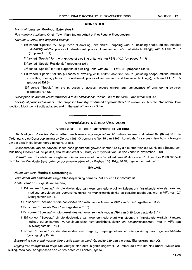#### **ANNEXURE**

#### Name of township: **Mooinooi Extension** 8.

Full name of applicant: Origin Town Planning on behalf of Piet Fouche Eiendomstrust.

Number or erven and proposed zoning:

- Erf zoned "Special" for the purpose of dwelling units and/or Shopping Centre (including shops, offices, medical consulting rooms, places of refreshment, places of amusement and business buildings) with a FSR of 0.7 (proposed Erf 1).
- Erf zoned "Special" for the purposes of dwelling units, with an FSR of 0.3 (proposed Erf 2).
- Erf zoned "Special Residential" (proposed Erf 3).
- 1 Erf zoned "Special" for the purposes of dwelling units, with an FSR of 0.35 (proposed Erf 4).
- 1 Erf zoned "Special" for the purposes of dwelling units and/or shopping centre (including shops, offices, medical consulting rooms, places of refreshment, places of amusement and business buildings), with an FSR of 0.5 (proposed Erf 5).
- Erf zoned "Special" for the purposes of access, access control and conveyance of engineering services (Proposed Erf 6).

Description of land on which township is to be established: Portion 239 of the farm Elandskraal 469 JQ.

Locality of proposed township: The proposed township is situated approximately 100 metres south of the N4/Lonhro Drive junction, Mooinooi, directly adjacent and to the east of Lonhoro Drive.

#### **KENNISGEWING 622 VAN 2008**

I **\_ I**

#### **VOORGESTELDE CORP: MOOINOOI UITBREIDING** 8

Die Madibeng Plaaslike Munisipaliteit gee hiermee ingevolge artikel 96 gelees tesame met artikel 69 (6) (a) van die Ordonnansie op Dorpsbeplanning en Dorpe, 1986 (Ordonnansie No. 15 van 1986), kennis dat 'n aansoek deur hom ontvang is om die dorp in die bylae hierby genoem, te stig.

Besonderhede van die aansoek lê ter insae gedurende gewone kantoorure by die kantoor van die Munisipale Bestuurder: Madibeng Plaaslike Munisipaliteit, Van Veldenstraat 53, Brits, vir 'n tydperk van 28 dae vanaf 11 November 2008.

Besware teen of vertoe ten opsigte van die aansoek moet binne 'n tydperk van 28 dae vanaf 11 November 2008 skriftelik by of tot die Munsipale Bestuurder by bovermelde adres of by Posbus 106, Brits, 0250, ingedien of gerig word.

#### **BYLAE**

#### Naam van dorp: **Mooinooi Uitbreiding** 8.

Volle naam van aansoeker: Origin Stadsbeplanning namens Piet Fouche Eiendomstrust.

Aantal erwe en voorgestelde sonering:

- Erf soneer "Spesiaal" vir die doeleindes van wooneenhede en/of winkelsentrum (insluitende winkels, kantore, mediese spreekkamers, verversingsplekke, vermaaklikheidsplekke en besigheidsgeboue), met 'n VRV van 0.7 (voorgestelde Erf 1).
- Erf soneer "Spesiaal" vir die doeleindes van wooneenhede met 'n VRV van 0.3 (voorgestelde Erf 2).
- Erf soneer "Spesiale Woon" (voorgestelde Erf 3).
- Erf soneer "Spesiaal" vir die doeleindes van wooneenhede met 'n VRV van 0.35 (voorgestelde Erf 4).
- Erf soneer "Spesiaal" vir die doeleindes van wooneenhede en/of winkelsentrum (insluitende winkels, kantore, mediese spreekkamers, verversingsplekke, vermaaklikheidsplekke en besigheidsgeboue), met 'n VRV van 0.5 (voorgestelde Erf 5).
- soneer "Spesiaal" vir die doeleindes van toegang, toegangsbeheer en die geleiding van ingenieursdienste (voorgeslelde Erf 6).

Beskrywing van grond waarop dorp gestig staan te word: Gedeelte 239 van die plaas Elandskraal 469 JQ.

Ligging van voorgestelde dorp: Die voorgestelde dorp is geleë ongeveer 100 meter suid van die N4/Lonhro Rylaan aansuiting, Mooinooi, aangrensend aan en ten ooste van Lonhro Rylaan.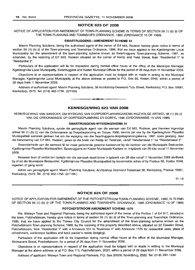#### **NOTICE 623 OF 2008**

NOTICE OF APPLICATION FOR AMENDMENT OF TOWN-PLANNING SCHEME IN TERMS OF SECTION 56 (1) (b) (i) OF THE TOWN-PLANNING AND TOWNSHIPS ORDINANCE, 1986 (ORDINANCE 15 OF 1986)

#### **SWARTRUGGEN5-AMENDMENT SCHEME 51**

Maxim Planning Solutions, being the authorised agent of the owner of Erf 663, Rodeon hereby gives notice in terms of section 56 (1) (b) (i) of the Town-planning and Townships Ordinance, 1986, that we have applied to the Kgetlengrivier Local Municipality for the amendment of the town-planning scheme known as Swartruggens Town-planning Scheme, 1997, as amended, by the rezoning of Erf 663, Rodeon situated on the corner of Kemp and Twist Street, from "Residential 1" to "Residential 2".

Particulars of the application will lie for inspection during normal office hours at the office of the Municipal Manager, Kgetlengrivier Local Municipality, Swartruggens and Koster Municipal Offices for the period of 28 days from 11 November 2008.

Objections to or representations in respect of the application must be lodged with or made in writing to the Municipal Manager, Kgetlengrivier Local Municipality at the above address or posted to P.O. Box 66, Koster, 0348, within a period of 28 days from 11 November 2008.

Address of authorised agent: Maxim Planning Solutions, 56 Archbishop Desmond Tutu Street, Klerksdorp; P.O. Box 10681, Klerksdorp, 2570. Tel: (018) 462-1756. (2/1166)

#### **KENNISGEWING 623 VAN 2008**

**• I**

KENNISGEWING VAN AANSOEK OM WYSIGING VAN DORPSBEPLANNINGSKEMA INGEVOLGE ARTIKEL 56 (1) (b) (i) VAN DIE ORDONNANSIE OP DORPSBEPLANNING EN DORPE, 1986 (ORDONNANSIE 15 VAN 1986)

#### **SWARTRUGGENS-WYSIGINGSKEMA 51**

Maxim Planning Solutions, synde die gemagtigde agent van die eienaar van Erf 663, Rodeon, gee hiermee ingevolge artikel 56 (1) (b) (i) van die Ordonnansie op Dorpsbeplanning en Dorpe, 1986, kennis dat ons by die Kgetlengrivier Plaaslike Munisipaliteit aansoek gedoen het om die wysiging van die Swartruggens-dorpsbeplanningskema, 1997, soos gewysig, deur die hersonering van Erf 663, Rodeon, geleë op die hoek van Kemp en Twistraat, vanaf "Residensieel 1" na "Residensieel 2".

Besonderhede van die aansoek lê ter insae gedurende gewone kantoorure by die kantoor van die Munisipale Bestuurder, Kgetlengrivier Plaaslike Munisipaliteit, Swartruggens en Koster Munisipale Kantore vir 'n tydperk van 28 dae vanaf 11 November 2008.

Besware teen of vertoë ten opsigte van die aansoek moet binne 'n tydperk van 28 dae vanaf 11 November 2008 skriftelkik by of tot die Munisipale Bestuurder, Kgetlengrivier Plaaslike Munisipaliteit by bovermelde adres of by Posbus 66, Koster, 0348, ingedien of gerig word.

Adres van gemagtigde agent: Maxim Planning Solutions, Archbishop Desmond Tutustraat 56, Klerksdorp; Posbus 10681, Klerksdorp, 2570. Tel: (018) 462-1756. (2/1166.)

 $11 - 18$ 

#### **NOTICE 624 OF 2008**

NOTICE OF APPLICATION FOR AMENDMENT OF THE POTCHEFSTROOM TOWN-PLANNING SCHEME, 1980, IN TERMS OF SECTION 56 (1) (b) (i) OF THE TOWN-PLANNING AND TOWNSHIPS ORDINANCE, 1986 (ORDINANCE 15 OF 1986)

#### **POTCHEFSTROOM AMENDMENT SCHEME 1576**

We. Welwyn Town and Regional Planners, being the authorised agent of the owner of the Portion 1 of Erf 917, situated in the town, Potchefstroom, hereby give notice in terms of section 56 (1) (b) (i) of the Town-planning and Townships Ordinance, 1986, that we have applied to the Tlokwe City Council for the amendment of the town-planning scheme known as the Potchefstroom Town-planning Scheme, 1980, by the rezoning of the property described above, situated on 22 Esselen Street, Potchefstroom, from "Residential 1" with a Annexure 531 to "Business 4" with Annexure 1126 for residential uses, place of refreshment, conference facilities and back packer's reside (lodging).

Particulars of the application will lie for inspection during normal office hours at the office of the Municipal Manager, Wolmarans Street, Potchefstroom, for a period of 28 days from 11 November 2008.

Objections to or representations in respect of the application must be lodged with or made in writing to the Municipal Manager at the above address or at P.O. Box 113, Potchefstroom, 2520, within a period of 28 days from 11 November 2008.

Address of applicant: Welwyn Town and Regional Planners, PO. Box 20508, Noordbrug, 2522. Tel: (018) 293-1536.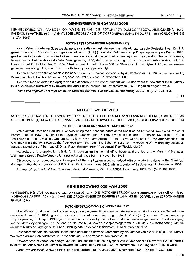#### **KENNISGEWING 624 VAN 2008**

KENNISGEWING VAN AANSOEK OM WYSIGING VAN DIE POTCHEFSTROOM-DORPSBEPLANNINGSKEMA, 1980, INGEVOLGE ARTIKEL 56 (1) (b) (i) VAN DIE ORDONNANSIE OP DORPSI3EPLANNING EN DORPE, 1986 (ORDONNANSIE 15 VAN 1986)

#### **POTCHEFSTROOM-WYSIGINGSKEMA 1576**

Ons, Welwyn Stads- en Streekbeplanners, synde die gemagtigde agent van die eienaar van die Gedeelte 1 van Erf 917, geleë in de dorp, Potchefstroom, ingevolge artikel 56 (1) (b) (i) van die Ordonnansie op Dorpsbeplanning en Dorpe, 1986, gee hierme kennis dat ons by die Tlokwe Stadsraad aansoek gedoen het om die wysiging van die dorpsbeplanningskema, bekend as die Potchefstroom-dorpsbeplanningskema, 1980, deur die hersonering van die eiendom hierbo beskryf, geleë te Esselenstraat 22, Potchefstroom, vanaf "Residensieel 1" met 'n Bylae 531 na "Besigheid 4" met Bylae 1126, vir residensiele gebruike, verversingsplek, konferensie fasiliteite en pakstappersverblyf.

Besonderhede van die aansoek lê ter insae gedurende gewone kantoorure by die kantoor van die Munisipale Bestuurder, Wolmaransstraat, Potchefstroom, vir 'n tydperk van 28 dae vanaf 11 November 2008.

Besware teen of vertoe ten opsigte van die aansoek moet binne 'n tydperk van 28 dae vanaf 11 November 2008 skriftelik tot die Munisipale Bestuurder by bovermelde adres of by Posbus 113, Potchefstroom, 2520, ingedien of gerig word.

Adres van applikant: Welwyn Stads- en Streekbeplanners, Posbus 20508, Noordbrug, 2522. Tel: (018) 293-1536.

 $11 - 18$ 

#### **NOTICE 625 OF 2008**

NOTICE OF APPLICATION FOR AMENDMENT OF THE POTCHEFSTROOM TOWN-PLANNING SCHEME, 1980, IN TERMS OF SECTION 56 (1) (b) (i) OF THE TOWN-PLANNING AND TOWNSHIPS ORDINANCE, 1986 (ORDINANCE 15 OF 1986)

#### **POTCHEFSTROOM AMENDMENT SCHEME 1577**

We, Welwyn Town and Regional Planners, being the authorised agent of the owner of the proposed Remaining Portion of Portion 1 of Erf 1067, situated in the Town of Potchefstroom, hereby give notice in terms of section 56 (1) (b) (i) of the Town-planning and Townships Ordinance, 1986, that we have applied to the Tlokwe City Council for the amendment of the town-planning scheme known as the Potchefstroom Town-planning Scheme, 1980, by the rezoning of the property described above, situated at 57 Albert Luthuli Drive, Potchefstroom, from "Residential 1" to "Residential 3".

Particulars of the application will lie for inspection during normal office hours at the office of the Municipal Manager, Wolmarans Street, Potchefstroom, for a period of 28 days from 11 November 2008.

Objections to or representations in respect of the application must be lodged with or made in writing to the Municipal Manager at the above address or at P.O. Box 113, Potchefstroom, 2520, within a period of 28 days from 11 November 2008.

Address of applicant: Welwyn Town and Regional Planners, P.O. Box 20508, Noordbrug, 2522. Tel: (018) 293-1536.

.**- .**

#### **KENNISGEWING 625 VAN 2008**

KENNISGEWING VAN AANSOEK OM WYSIGING VAN DIE POTCHEFSTROOM-DORPSBEPLANNINGSKEMA, 1980, INGEVOLGE ARTIKEL 56 (1) (b) (i) VAN DIE ORDONNANSIE OP DORPSBEPLANNING EN DORPE, 1986 (ORDONNANSIE 15 VAN 1986)

#### **POTCHEFSTROOM-WYSIGINGSKEMA 1577**

Ons, Welwyn Stads- en Streekbeplanners, synde die gemagtigde agent van die eienaar van die Resterende Gedeelte van Gedeelte 1 van Erf 1067, geleë in die dorp Potchefstroom, ingevolge artikel 56 (1) (b) (i) van die Ordonnansie op Dorpsbeplanning en Dorpe, 1986, gee hierme kennis dat ons by die Tlokwe Stadsraad aansoek gedoen het om die wysiging van die dorpsbeplanningskema, bekend as die Potchefstroom-dorpsbeplanningskema, 1980, deur die hersonering van die eiendom hierbo beskryf, gelee te Albert Luthulirylaan 57 vanaf "Residensieel 1" na "Residensieel 3".

Besonderhede van die aansoek lê ter insae gedurende gewone kantoorure by die kantoor van die Munisipale Bestuurder, Wolmaransstraat, Potchefstroom, vir 'n tydperk van 28 dae vanaf 11 November 2008.

Besware teen of vertoë ten opsigte van die aansoek moet binne 'n tydperk van 28 dae vanaf 11 November 2008 skriftelik by of tot die Munisipaie Bestuurder by bovermelde adres of by Posbus 113, Potchefstroom, 2520, ingedien of gerig word.

Adres van epptikent: Welwyn Stads- en Streekbeplanners, Posbus 20508, Noordbrug, 2522. Tel: (018) 293-1536.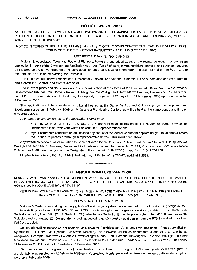#### **NOTICE 626 OF 2008**

NOTICE OF LAND DEVELOPMENT AREA APPLICATION ON THE REMAINING EXTENT OF THE FARM IFAFI 457 JQ, PORTION 12 (PORTION OF PORTION 1) OF THE FARM SYFERFONTEIN 438 JQ AND HOLDING 99, MELODIE AGRICULTURAL HOLDINGS JQ

NOTICE IN TERMS OF REGULATION 21 (8) (c) AND 21 (10) OF THE DEVELOPMENT FACILITATION REGULATIONS IN TERMS OF THE DEVELOPMENT FACILITATION ACT, 1995 (ACT 67 OF 1995)

#### REFERENCE: DFA21/3/1/10/12 AND 13

Midplan & Associates, Town and Regional Planners, being the authorised agent of the registered owner has owned an application in terms of the Development Facilitation Act, 1995 (Act 67 of 1995) for the establishment of a land development area on the area on the above properties. The land development area is located to the north and south of and on the P79-1 and to the immediate north of the existing Ifafi Township.

The land development will consist of 5 "Residential 3" erven, 12 erven for "Business 1" and streets (Ifafi and Syferfontein), and 4 erven for "Special" and streets (Melodie).

The relevant plans and documents are open for inspection at the offices of the Designated Officer, North West Province Development Tribunal, Paul Ramosa Riekert Building, c/o Von Wielligh and Gerrit Maritz Avenues, Dassierand, Potchefstroom and at 23 De Havilland Avenue, Helderkruin, Roodepoort, for a period of 21 days from 11 November 2008 up to and including 2 December 2008.

The applications will be considered at tribunal hearing at the Santa Fé Pub and Grill located on the proposed land development area on 12 February 2009 at 10hOO and a Pre-Hearing Conference will be held at the same venue and time on 5 February 2009.

Any person having an interest in the application should note:

- 1. You may within 21 days from the date of the first publication of this notice (11 November 2008), provide the Designated Officer with your written objections or representations; and
- 2. If your comments constitute an objection to any aspect of the land development application, you must appear before the Tribunal in person or through a representative on the dates mentioned above.

Any written objection or representation must be delivered to the Designated Officer, Paul Ramosa Riekert Building, c/o Von Wielligh and Gerrit Maritz Avenues, Dassierand, Potchefstroom or sent to Private Bag X1213, Potchefstroom, 2520 on or before 2 December 2008. You may contact the Designated Officer on Tel: (018) 297-5011 and Fax: (018) 297-7956.

Midplan & Associates, P.O. Box 21443, Helderkruin, 1733. Tel: (011) 764-5753/082 881 2563.

#### **KENNISGEWING 626 VAN 2008**

**a •**

KENNISGEWING VAN AANSOEK OM GRONDONTWIKKELINGSGEBIED OP DIE RESTERENDE GEDEELTE VAN DIE PLAAS IFAFI 457 JQ, GEDEELTE 12 (GEDEELTE VAN GEDEELTE 1) VAN DIE PLAAS SYFERFONTEIN 438 JQ EN HOEWE 99, MELODIE LANDBOUHOEWES JQ

KENNIS INGEVOLGE REGULASIE 21 (8) (c) EN 21 (10) VAN DIE ONTWIKKELlNGSFASILITERINGSREGULASIES INGEVOLGE DIE WET OP ONTWIKKELlNGSFASILITERING, 1995 (WET 67 VAN 1995)

#### VERWYSING: DFA21/3/1/10/12 EN 13

Midplan & Medewerkers, die gevolmagtigde agent van die geregistreerde eienaar, het aansoek gedoen ingevolge die Wet op Ontwikkelingsfasilitering, 1995 (Wet 67 van 1995), vir die vestiging van 'n grondontwikkelingsgebied op die Resterende Gedeelte van die plaas Ifafi 457 JQ, Gedeelte 12 (gedeelte van Gedeelte 1) van die plaas Syferfontein 438 JQ en Hoewe 99, Melodie Landbouhoewes JQ. Die grondontwikkelingsgebied is gelee noord en suid van en aan die P79-1 en direk noord van Ifafi Dorpsgebied.

Die grondontwikkelingsgebied sal bestaan uit 5 erwe vir "Residensieel 3", 12 erwe vir "Besigheid 1" en strate (Ifafi en Syferfontein) en 4 erwe vir "Spesiaal" vir strate (Melodie). Die relevante planne en dokumente is oop vir inspeksie by die Aangewese Beampte, Noordwes Provinsie Ontwikkelingstribunaal, Paul Ramosa Riekertgebou, h/v Von Wielligh- en Gerrit Maritzlaan, Dassierand, Potchefstroom en te De Havillandlaan 23, Helderkruin, Roodepoort, vir 'n tydperk van 21 dae vanaf 11 November 2008 tot en met en insluitend 2 Desember 2008.

Die aansoek sal oorweeg word by 'n tribunaalverhoor by die Santa Fé Kroeg en Restaurant geleë op die voorgestelde grondontwikkelingsgebied, op 12 Februarie 2009 en 'n Voorverhoor Konferensie sal by dieselfde plek en op dieselfde tyd gehou word op 5 Februarie 2009.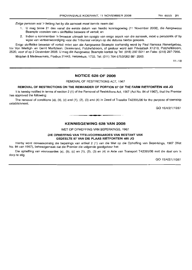Enige persoon wat 'n belang het by die aansoek moet kennis neem dat:

- 1. U mag binne 21 dae vanaf die eerste datum van hierdie kennisgewing (11 November 2008), die Aangewese Beampte voorsien van u skriftelike besware of vertoë: en
- 2. Indien u kommentaar 'n beswaar uitmaak ten opsigte van enige aspek van die aansoek, moet u persoonlik of by wyse van verteenwoordiging voor die Tribunaal verskyn op die datums hierbo genoem.

Enige skriftelike beswaar of vertoe moet aan die Aangewese Beampte oorhandig word by Paul Ramosa Riekertgebou, h/v Von Wielligh- en Gerrit Maritzlaan, Dassierand, Potchefstroom, of gestuur word aan Privaatsak X1213, Potchefstroom, 2520, voor of op 2 Desember 2008. U mag die Aangewese Beampte kontak by Tel: (018) 297-5011 en Faks: (018) 297-7956.

Midplan & Medewerkers, Posbus 21443, Helderkuin, 1733. Tel: (011) 764-5753/082 881 2563.

 $11 - 18$ 

#### **NOTICE 628 OF 2008**

REMOVAL OF RESTRICTIONS ACT, 1967

#### **REMOVAL OF RESTRICTIONS ON THE REMAINDER OF PORTION 87 OF THE FARM RIETFONTEIN 458 JQ**

It is hereby notified in terms of section 2 (1) of the Removal of Restrictions Act, 1967 (Act No. 84 of 1967), that the Premier has approved the following:

The removal of conditions (a), (b), (c) and (1), (2), (3) and (4) in Deed of Transfer T42395/06 for the purpose of township establishment.

GO 15/4/2/1/10/61

#### **KENNISGEWING 628 VAN 2008**

**•**

WET OP OPHEFFING VAN BEPERKINGS, 1967

#### **DIE OPHEFFING VAN TITELVOORWAARDES VAN RESTANT VAN GEDEELTE 87 VAN DIE PLAAS RIETFONTEIN 485 JQ**

Hierby word ooreenkomstig die bepalings van artikel 2 (1) van die Wet op die Opheffing van Beperkings, 1967 (Wet No. 84 van 1967), bekendgemaak dat die Premier die volgende goedgekeur het:

Die opheffing van voorwaardes (a), (b), (c) en (1), (2), (3) en (4) in Akte van Transport T42395/06 met die doel om 'n dorp te stig.

GO 15/4/2/1/10/61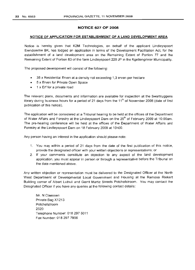#### **NOTICE 627 OF 2008**

#### **NOTICE OF APPLICATION FOR ESTABLISHMENT OF A LAND DEVELOPMENT AREA**

Notice is hereby given that K2M Technologies, on behalf of the applicant Lindleyspoort Eiendomme BK, has lodged an application in terms of the Development Facilitation Act, for the establishment of a land development area on the Remaining Extent of Portion 77 and the Remaining Extent of Portion 83 of the farm Lindleyspoort 220 JP in the Kgetlengrivier Municipality.

The proposed development will consist of the following:

- 35 x Residential Erven at a density not exceeding 1,3 erven per hectare
- 5 x Erven for Private Open Space
- 1 x Erf for a private road

The relevant plans, documents and information are available for inspection at the Swartruggens library during business hours for a period of 21 days from the  $11<sup>th</sup>$  of November 2008 (date of first publication of this notice).

The application will be considered at a Tribunal hearing to be held at the offices of the Department of Water Affairs and Forestry at the Lindleyspoort Dam on the 25<sup>th</sup> of February 2009 at 10:00am. The pre-hearing conference will be held at the offices of the Department of Water Affairs and Forestry at the Lindleyspoort Dam on 18 February 2009 at 10hOO.

Any person having an interest in the application should please note:

- 1. You may within a period of 21 days from the date of the first publication of this notice, provide the designated officer with your written objections or representations; or
- 2. If your comments constitute an objection to any aspect of the land development application, you must appear in person or through a representative before the Tribunal on the date mentioned above.

Any written objection or representation must be delivered to the Designated Officer at the North West Department of Developmental Local Government and Housing at the Ramosa Riekert Building corner of Albert Luthuli and Gerrit Martiz Streets Potchefstroom. You may contact the Designated Officer if you have any queries at the following contact details:

Mr. N Claassen Private Bag X1213 Potchefstroom 2520 Telephone Number: 018 297 5011 Fax Number: 018 297 7956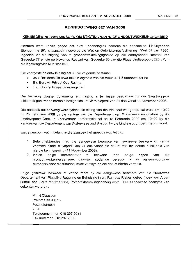#### No.6553 **23**

#### **KENNISGEWING 627 VAN 2008**

#### **KENNISGEWING VAN AANSOEK OM STIGTING VAN "N GRONDONTWIKKELINGSGEBIED**

Hiermee word kennis gegee dat K2M Technologies namens die aansoeker, Lindleyspoort Eiendomme BK, 'n aansoek ingevolge die Wet op Ontwikkelingsfasilitering (Wet 67 van 1995) ingedien vir die stigting van 'n grondontwikkelingsgebied op die oorblywende Restant van Gedeelte 77 en die oorblywende Restant van Gedeelte 83 van die Plaas Lindleyspoort 220 JP, in die Kgetlengrivier Munisipaliteit.

Die voorgestelde ontwikkeling sal uit die volgende bestaan:

- 35 x Residensiële erwe teen 'n digtheid van nie meer as 1,3 eenhede per ha
- 5 x Erwe vir Privaat Oop Ruimte
- 1 x Erf vir 'n Privaat Toegangspad

Die betrokke planne, dokumente en inligting is ter insae beskikbaar by die Swartruggens biblioteek gedurende normale besigheids ure vir 'n tydperk van 21 dae vanaf 11 November 2008.

Die aansoek sal oorweeg word tydens die sitting van die tribunaal wat gehou sal word am 10:00 op 25 Februarie 2009 by die kantore van die Departement van Waterwese en Bosbou by die Lindleyspoort Dam. 'n Voorverhoor konferensie salop 18 Februarie 2009 am 10hOO by die kantore van die Departement van Waterwese and Bosbou by die Lindleyspoort Dam gehou word.

Enige persoon wat 'n belang in die aansoek het moet daarop let dat:

- 1. Belanghebbendes mag die aangewese beampte van geskrewe besware of vertoë voorsien binne 'n tydperk van 21 dae vanaf die datum van die eerste publikasie van hierdie kennisgewing (11 November 2008).
- 2. Indien enige kommentaar 'n beswaar teen enige aspek van die grondontwikkelingsaansoek daarstel, sodanige persoon of sy verteenwoordiger persoonlik voor die tribunaal moet verskyn op die datum hierbo vermeld.

Enige geskrewe beswaar of vertoe moet by die aangewese beampte van die Noordwes Departement van Plaaslike Regering en Behuising in die Ramosa Riekert gebou (hoek van Albert Luthuli and Gerrit Maritz Strate) Potchefstroom ingehandig word. Die aangewese beam pte kan gekontak word by :

Mr. N Claassen Privaat Sak X1213 Potchefstroom 2520 Telefoonnommer: 018 297 5011 Faksnommer: 018297 7956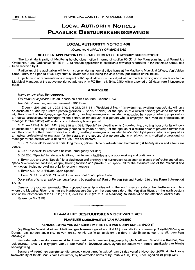## **LOCAL AUTHORITY NOTICES PLAASLIKE BeSTUURSKENNISGEWINGS**

### **LOCAL AUTHORITY NOTICE 469**

**LOCAL MUNICIPALITY OF MADIBENG**

#### **NOTICE OF APPLICATION FOR ESTABLISHMENT OF TOWNSHIP: SCHEERPOORT**

The Local Municipality of Madibeng hereby gives notice in terms of section 96 (1) of the Town-planning and Townships Ordinance, 1986 (Ordinance No. 15 of 1986), that an application to establish a township referred to in the Annexure hereto, has been received by it.

Particulars of the application will lie for inspection during normal office hours at the Madibeng Municipal Offices, Van Velden Street, Brits, for a period of 28 days from 5 November 2008, being the date of first publication of this notice.

Objections to or representations in respect of the application must be lodged with or made in writing and in duplicate to the Municipal Manager, at the above mentioned address or at PO Box 106, Brits, 0250, within a period of 28 days from 5 November 2008.

#### **ANNEXURE**

#### Name of township: **Scheerpoort.**

Full name of applicant: Ella du Plessis on behalf of Anna Susanna Pera.

Number of erven in proposed township: 560 Erven.

1. Erven 4--205, 207-311, 322-340, 346-352, 354--531: "Residential NO.1" (provided that dwelling houses/units will only be occupied or used by a retired person (persons 50 years or older), or the spouse of a retired person; provided further that with the consent of the Homeowners Association, dwelling houses/units may also be occupied by a person who is employed as a medical professional or manager for the estate, or the spouse of a person who is employed as a medical professional or manager for the estate) with a density of 1 dwelling house per erf.

2. Erven 312-319, 341, 342, 344, 345 and 353; "Special" for dwelling units (provided that dwelling houses/units will only be occupied or used by a retired person (persons 50 years or older), or the spouse of a retired person; provided further that with the consent of the Homeowners Association, dwelling houses/units may also be occupied by a person who is employed as a medical professional or manager for the estate, or the spouse of a person who is employed as a medical professional or manager for the estate) with a density of 25 units per hectare.

3. Erf 2: "Special" for medical consulting rooms, offices, place of refreshment, hairdressing & beauty salon and a frail care centre.

4. Erf 1: "Special" for restricted helistop (emergency helistop).

5. Erf 206: "Special" for storage facilities, maintenance facilities and a woodworking and craft centre.

6. Erven 320 and 343: "Special" for a clubhouse and ancillary and subservient uses such as places of refreshment, offices, sports & recreational facilities, chapel, training facilities and private open space, all for the exclusive use of the residents and their guests, including dwelling units for estate managers.

7. Erven 532-559: "Private Open Space".

8. Erven 3, 321 and 560: "Special" for access control and private road.

Description of land on which the township is to be established: Part of Portion 196 and Portion 210 of the Farm Scheerpoort 477-JQ.

Situation of proposed township: The proposed township is situated on the south western side of the Hartbeespoort Dam where the Magalies River runs into the Hartbeespoort Dam, on the southern side of the Magalies River, on the north eastern side of the intersection of the R512 (P31-1) and the R560 (P122-1) in Madibeng as indicated on the attached locality plan.

Reference No. T193.

#### **PLAASLIKE BESTUURSKENNISGEWING 469**

.**- .**

#### **PLAASLIKE MUNISIPALITEIT VAN MADIBENG**

#### **KENNISGEWING VAN AANSOEK OM STIGTING VAN DORP: SCHEERPOORT**

Die Plaaslike Munisipaliteit van Madibeng gee hiermee ingevolge artikel 96 (1) van die Ordonnansie op Dorpsbeplanning en Dorpe, 1986 (Ordonnansie No. 15 van 1986), kennis dat 'n aansoek om die dorp in die Bylae genoem, te stiq deur hom ontvang is.

Besonderhede van die aansoek lê ter insae gedurende gewone kantoorure by die Madibeng Munisipale Kantore, Van Veldenstraat, Brits, vir 'n tydperk van 28 dae vanaf 5 November 2008, synde die datum van eerste publikasie van hierdie kennisgewing.

Besware of vertoë ten opsigte van die aansoek moet binne 'n tydperk van 28 dae vanaf 5 November 2008, skriftelik en in tweevoud by of tot die Munisipale Bestuurder, by bovermelde adres of by Posbus 106, Brits, 0250, ingedien of gerig word.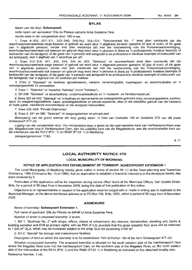#### **BYLAE**

#### Naam van die dorp: **Scheerpoort.**

Volle naam van aansoeker: Ella du Plessis namens Anna Susanna Pera.

Aantal erwe in die voorgestelde dorp: 560 erwe.

1. Erwe 4-205, 207-311, 322--340, 346-352, 354-531: "Residensieel NO.1" (met dien verstande dat die woonhuise/wooneenhede slegs bewoon of gebruik sal word deur 'n afgetrede persoon (persone 50 jaar of ouer), of die gade van 'n afgetrede persoon; verder met dien verstande dat met die toestemming van die Huiseienaarsvereniging, woonhuise/wooneenhede ook bewoon en gebruik mag word deur 'n persoon in diens as 'n professionele mediese beampte of bestuurder van die landgoed, of die gade van 'n persoon wat aangestel is as professionele mediese beampte of bestuurder van die landgoed), met 'n digtheid van 1 woonhuis per erf.

2. Erwe 312-319, 341, 342, 344, 345 en 353; "Spesiaal" vir wooneenhede (met dien verstande dat die woonhuise/wooneenhede slegs bewoon of gebruik sal word deur 'n afgetrede persoon (persone 50 jaar of ouer), of die gade van 'n afgetrede persoon; verder met dien verstande dat met die toestemming van die Huiseienaarsvereniging, woonhuise/wooneenhede ook bewoon en gebruik mag word deur 'n persoon in diens as 'n professionele mediese beampte of bestuurder van die landgoed, of die gade van 'n persoon wat aangestel is as professionele mediese beampte of bestuurder van die landgoed) met 'n digtheid van 25 eenhede per hektaar.

3. Erwe 2: "Spesiaal" vir mediese spreekkamers, kantore, verversingsplek, haarkapper- en skoonheidsalon en 'n versorgingeenheid vir verswaktes.

4. Erwe 1: "Spesiaal" vir beperkte "helistop" (nood "helistop").

5. Erf 206: "Spesiaal" vir stoorfasiliteite, onderhoudsfasiliteite en 'n houtwerk- en handwerksentrum.

6. Erwe 320 en 343: "Spesiaal" vir 'n klubhuis en aanverwante en ondergeskikte gebruike soos verversingsplekke, kantore, sport- en ontspanningsfasiliteite, kapel, opleidingsfasiliteite en privaat oopruimte, alles vir die uitsluitlike gebruik van die inwoners en hulle gaste, insluitende wooneenhede vir die Jandgoed bestuurders.

7. Erwe 532-559: "Private Oopruimte".

8. Erwe 3, 321 en 560: "Spesiaal" vir toegangsbeheer en privaat pad.

Beskrywing van die grond waarop die dorp gestig staan: 'n Deel van Gedeelte 196 en Gedeelte 210 van die plaas Scheerpoort 477-JQ.

Ligging van die voorgestelde dorp: Die voorgestelde dorp is geleë op die suid-westelike kant van Hartbeespoortdam waar die Magaliesrivier loop in Hartbeespoort Dam, aan die suidelike kant van die Magaliesrivier, aan die noordoostelike kant van die interseksie van die R512 (P31-1) en R560 (P122-1) in Madibeng.

verwysinqsnommor: T193.

 $4 - 11$ 

#### **LOCAL AUTHORITY NOTICE 470**

#### **LOCAL MUNICIPALITY OF MADIBENG**

#### **NOTICE OF APPLICATION FOR ESTABLISHMENT OF TOWNSHIP: SCHEERPOORT EXTENSION 1**

The Local Municipality of Madibeng hereby gives notice in terms of section 96 (1) of the Town-planning and Townships Ordinance, 1986 (Ordinance No. 15 of 1986), that an application to establish a township referred to in the Annexure hereto, has been received by it.

Particulars of the application will lie for inspection during normal office hours at the Municipal Offices, Van Velden Street, Brits, for a period of 28 days from 4 November 2008, being the date of first publication of this notice.

Objections to or representations in respect of the application must be lodqed with or made in writing and in duplicate to the Municipal Manager, at the above mentioned address or at PO Box 106, Brits, 0250, within a period of 28 days from 4 November 2008.

#### **ANNEXURE**

#### Name of township: **Scheerpoort Extension** 1.

Full name of applicant: Ella du Plessis on behalf of Anna Susanna Pera.

Number of erven in proposed township: 2 erven.

1. Erf 1: "Business No.2" with shops, offices, places of refreshment, dry cleaners, launderettes, dwelling unit, banks & building societies and ATM as primary rights; with an FSR of 0,4; provided that the gross leasable floor area will be restricted to 1 200  $\text{m}^2$  GLA, which may be increased subject to the shop GLA not exceeding 3 500  $\text{m}^2$ .

2. Erf 2: "Special" for storage and maintenance facilities.

Description of land on which the township is to be established: Part of Portion 196 of the farm Scheerpoort 477-JQ.

Situation of proposed township: The proposed township is situated on the south western side of the Hartbeespoort Dam where the Magalies River runs into the Hartbeespoort Dam, on the southern side of the Magalies River, on the north eastern side of the intersection of the R512 (P31-1) and the R560 (P122-1) in Madibeng as indicated on the attached locality plan.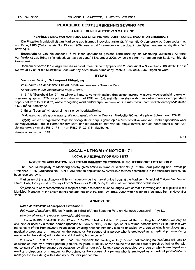#### **PLAASLIKE BESTUURSKENNISGEWING 470**

#### **PLAASLIKE MUNISIPALITEIT VAN MADIBENG**

#### **KENNISGEWING VAN AANSOEK OM STIGTING VAN DORP: SCHEERPOORT UITBREIDING 1**

Die Plaaslike Munisipaliteit van Madibeng gee hiermee ingevolge artikel 96 (1) van die Ordonnansie op Dorpsbeplanning en Dorpe, 1986 (Ordonnansie No. 15 van 1986), kennis dat 'n aansoek om die dorp in die Bylae genoem, te stig deur hom ontvang is.

Besonderhede van die aansoek Iê ter insae gedurende gewone kantoorure by die Madibeng Munisipale Kantore, Van Veldenstraat, Brits, vir 'n tydperk van 28 dae vanaf 4 November 2008, synde die datum van eerste publikasie van hierdie kennisgewing.

Besware of vertoë ten opsigte van die aansoek moet binne 'n tydperk van 28 dae vanaf 4 November 2008 skriftelik en in tweevoud by of tot die Munisipale Bestuurder by bovermelde adres of by Posbus 106, Brits, 0250, ingedien word.

#### **BYLAE**

#### Naam van die dorp: **Scheerpoort Uitbreiding** 1.

Volle naam van aansoeker: Ella du Plessis namens Anna Susanna Pera.

Aantal erwe in die voorgestelde dorp: 3 erwe.

1. Ert 1: "Besigheid No.2" met winkels, kantore, verversingsplek, droogskoonmakers, wassery, wooneenheid, banke en bou-verenigings en OTM as primere gebruike, met FSR *van* 0,4; met dien verstande dat die verhuurbare vloeroppervlakte beperk sal word tot 1 200 m2, wat verhoog mag word onderworpe daaraan dat die bruto verhuurbare winkelvloeroppervlakte nie 3 500 m2 sal oorskry nie.

2. Ert 2: "Spesiaal" vir stoorruimte vir onderhoudsfasiliteite.

Beskrywing van die grond waarop die dorp gestig staan: 'n Deel van Gedeelte 196 van die plaas Scheerpoort 477-JQ.

Ligging van die voorgestelde dorp: Die voorgestelde dorp is geleë op die suid-westelike kant van Hartbeespoortdam waar die Magaliesrivier loop in Hartbeespoort Dam, aan die suidelike kant van die Magaliesrivier, aan die noordoostelike kant *van* die interseksie van die R512 (P31-1) en R560 (P122-1) in Madibeng.

Verwysingsnommer: T193

 $4 - 11$ 

#### **LOCAL AUTHORITY NOTICE 471**

#### **LOCAL MUNICIPALITY OF MADIBENG**

#### **NOTICE OF APPLICATION FOR ESTABLISHMENT OF TOWNSHIP: SCHEERPOORT EXTENSION** 2

The Local Municipality of Madibeng hereby gives notice in terms of section 96 (1) of the Town-planning and Townships Ordinance, 1986 (Ordinance No. 15 of 1986), that an application to establish a township referred to in the Annexure hereto, has been received by it.

Particulars of the application will lie for inspection during normal office hours at the Madibeng Municipal Offices, Van Velden Street, Brits, for a period of 28 days from 5 November 2008, being the date of first publication of this notice.

Objections to or representations in respect of the application must be lodged with or made in writing and in duplicate to the Municipal Manager, at the above mentioned address or at PO Box 106, Brits, 0250, within a period of 28 days from 5 November 2008.

#### **ANNEXURE**

#### Name of township: **Scheerpoort Extension** 2.

Full name of applicant: Ella du Plessis on behalf of Anna Susanna Pera en Hartbees-Jeugterrein (Pty) Ltd.

Number of erven in proposed township: 399 erven.

1. Erven 3-130, 134-196,200-312 and 315-374: "Residential No.1" (provided that dwelling houses/units will only be occupied or used by a retired person (persons 50 ears or older), or the spouse of a retired person; provided further that with the consent of the Homeowners Association, dwelling houses/units may also be occupied by a person who is employed as a medical professional or manager for the estate, or the spouse of a person who is employed as a medical professional or manager for the estate) with a density of 1 dwelling house per ert.

2. Erven 131-133, 197, 199, 313, and 314: "Special" for dwelling units (provided that dwelling houses/units will only be occupied or used by a retired person (persons 50 years or older), or the spouse of a retired person; provided further that with the consent of the Homeowners Association, dwelling houses/units may also be occupied by a person who is employed as a medical professional or manager for the estate, or the spouse of a person who is employed as a medical professional or manager for the estate) with a density of 25 units per hectare.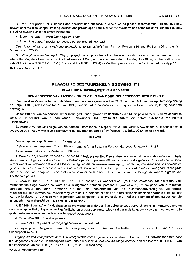3. Erf 198: "Special" for clubhouse and ancillary and subservient uses such as places of refreshment, offices, sports & recreational facilities, chapel. training facilities and private open space, all for the exclusive use of the residents and their guests, including dwelling units for estate managers.

4. Erven 375-398: "Private Open Space" erven.

5. Erven 1 and 399: "Special" for access control and private road.

Description of land on which the township is to be established: Part of Portion 196 and Portion 166 of the farm Scheerpoort 477-JQ.

Situation of proposed township: The proposed township is situated on the south western side of the Hartbeespoort Dam where the Magalies River runs into the Hartbeespoort Dam, on the southern side of the Magalies River, on the north eastern side of the intersection of the R512 (P31-1) and the R560 (P122-1) in Madibeng as indicated on the attached locality plan.

Reference Number. T193

#### **PLAASLIKE BESTUURSKENNISGEWING 471**

**-**

#### **PLAASLIKE MUNISIPALITE'T VAN MADIBENG**

#### **KENN'SGEWING VAN AANSOEK OM STIGT'NG VAN DORP: SCHEERPOORT UITBREID'NG** 2

Die Plaaslike Munisipaliteit van Madibeng gee hiermee ingevolge artikel 96 (1) van die Ordonnansie op Dorpsbeplanning en Dorpe. 1986 (Ordonnansie No. 15 van 1986), kennis dat 'n aansoek om die dorp in die Bylae genoem, te stig deur hom ontvang is.

Besonderhede van die aansoek Ie ter insae gedurende gewone kantoorure by die Munisipale Kantore, Van Veldenstraat, Brits, vir 'n tydperk van 28 dae vanaf 5 November 2008, synde die datum van eerste publikasie van hierdie kennisgewing.

Besware of vertoë ten opsigte van die aansoek moet binne 'n tydperk van 28 dae vanaf 5 November 2008 skriftelik en in tweevoud by of tot die Munisipale Bestuurder by bovermelde adres of by Posbus 106, Brits, 0250. ingedien word.

#### **BYLAE**

#### Naam van die dorp: **Scheerpoort Extension** 2.

Volle naam van aansoeker: Ella du Plessis namens Anna Susanna Pera en Hartbees-Jeugterrein (Pty) Ltd.

Aantal erwe in die voorgestelde dorp: 399 erwe.

1. Erwe 3-130, 134-196, 200-312 en 315-374: "Residensieel No. 1" (met dien verstande dat die woonhuise/wooneenhede slegs bewoon of gebruik sal word deur 'n afgetrede persoon (persone 50 jaar of ouer), of die gade van 'n afgetrede persoon; verder met dien verstande dat met die toestemming van die huiseienaarsvereniging, woonhuise/wooneenhede ook bewoon en gebruik mag word deur 'n persoon in diens as 'n professionele mediese beampte of bestuurder van die landgoed, of die gade van 'n persoon wat aangestel is as professionele mediese beampte of bestuurder van die landgoed), met 'n digtheid van 1 woonhuis per erf.

2. Erwe 2, 131--133, 197, 199, 313, en 314: "Spesiaal" vir wooneenhede (met dien verstande dat die woonhuise/ wooneenhede slegs bewoon sal word deur 'n afgetrede persoon (persone 50 jaar of ouer), of die gade van 'n afgetrede persoon; verder met dien verstande dat met die toestemming van die huiseienaarsvereniging, woonhuise/ wooneenhede ook bewoon ook bewoon mag word deur 'n persoon in diens as 'n professionele mediese beampte of bestuurder van die landgoed, of die gade van 'n persoon wat aangestel is as professionele mediese beampte of bestuurder van die landgoed), met 'n digtheid van 25 eenhede per hektaar.

3. Erf 198 "Spesiaal" vir 'n klubhuis en aanverwante en ondergeskikte gebruike soos verversingsplekke, kantore, sport- en ontspanningsfasiliteite, kapel, opleidingsfasiliteite en privaat oopruimte, alles vir die uitsluitlike gebruik van die inwoners en hulle gaste, insluitende wooneenhede vir die landgoed bestuurders.

4. Erwe 375-398: "Privaat oopruimte".

5. Erwe 1-399: "Spesiaal" vir toegangsbeheer en privaat pad.

Beskrywing van die grand waarap die dorp gestig staan: 'n Deel van Gedeelte 196 en Gedeelte 166 van die plaas Scheerpoort 477-JQ.

Ligging die van voorgestelde dorp: Die voorgestelde dorp is geleë op die suid-westelike kant van Hartbeespoortdam waar die Magaliesrivier loop in Hartbeespoort Dam, aan die suidelike kant van die Magaliesrivier, aan die noordoostelike kant van die interseksie van die R512 (P31-1) en R560 (P122-1) in Madibeng.

Verwysingsnommer: T193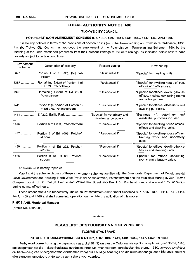#### LOCAL AUTHORITY NOTICE 480

#### TLOKWE CITY COUNCIL

#### POTCHEFSTROOM AMENDMENT SCHEMES 897,1387,1392,1411,1431,1445,1447,1459 AND 1466

It is hereby notified in terms of the provisions of section 57 (1) (a) of the Town-planning and Townships Ordinance, 1986, that the Tlokwe City Council has approved the amendment of the Potchefstroom Town-planning Scheme, 1980, by the rezoning of the undermentioned properties from their present zonings to the new zonings, as indicated below next to each property subject to certain conditions:

| Amendment<br>scheme | Description of property                                         | Present zoning                                       | New zoning                                                                                      |
|---------------------|-----------------------------------------------------------------|------------------------------------------------------|-------------------------------------------------------------------------------------------------|
| $897$               | Portion 1 of Erf 820, Potchef-<br>stroom                        | "Residential 1"                                      | "Special" for dwelling units.                                                                   |
| 1387                | Remaining Extent of Portion 1 of<br>Erf 373, Potchefstroom      | "Residential 1"                                      | "Special" for dwelling-house offices,<br>offices and office uses.                               |
| 1392                | Remaining Extent of Erf 2650,<br>Potchefstroom                  | "Residential 1"                                      | "Special" for offices, dwelling-house<br>offices, medical consulting rooms<br>and a tea garden. |
| $1411$              | Portion 2 (a portion of Portion 1)<br>of Erf 375, Potchefstroom | "Residential 1"                                      | "Special" for offices, office uses and<br>dwelling purposes.                                    |
| 1431                | Erf 220, Baillie Park                                           | "Special" for veterinary and<br>residential purposes | "Business 4", veterinary<br>and<br>residential purposes included.                               |
| $1445$              | Portion 6 of Erf 9, Potchefstroom                               | "Residential 1"                                      | "Special" for dwelling-house offices,<br>offices and dwelling-units.                            |
|                     | 1447  Portion 3 of Erf 1693, Potchef-<br>stroom                 | "Residential 1"                                      | "Special" for dwelling-house offices,<br>framing work and upholstery<br>uses.                   |
| 1459                | Portion 1 of Erf 222, Potchef-<br>stroom                        | "Residential 1"                                      | "Special" for offices, dwelling-house<br>offices and dwelling-units.                            |
| $1466$              | Portion 8 of Erf 60, Potchef-<br>stroom                         | "Residential 1"                                      | "Special" for offices, consulting<br>rooms and a beauty salon.                                  |

Annexure 28 is hereby repealed.

Map 3 and the scheme clauses of these amendment schemes are filed with the Directorate, Department of Developmental Local Government and Housing, North West Provincial Administration, Potchefstroom and the Municipal Manager, Dan Tloome Complex, corner of Sol Plaatjie Avenue and Wolmarans Street (PO Box 113), Potchefstroom, and are open for inspection during normal office hours.

These amendments are respectively known as Potchefstroom Amendment Schemes 897, 1387, 1392, 1411, 1431, 1445, 1447, 1459 and 1466 and shall come into operation on the date of publication of this notice.

#### R MOSIANE, Municipal Manager

(Notice No. 158/2008)

### PLAASLIKE BESTUURSKENNISGEWING 480

.**- .**

#### TLOKWE STADSRAAD

#### POTCHEFSTROOM-WYSIGINGSKEMAS 897,1387,1392,1411,1431,1445,1447,1459 EN 1466

Hierby word ooreenkomstig die bepalings van artikel 57 (1) (a) van die Ordonnansie op Dorpsbeplanning en Dorpe, 19B6, bekendgemaak dat die Tlokwe Stadsraad goedgekeur het dat Potchefstroom-dorpsbeplanningskema, 1980, gewysig word deur die hersonering van ondergenoemde eiendomme vanaf hulle huidige sonerings na die nuwe sonerings, soos hieronder teenoor elke eiendom aangetoon, onderworpe aan sekere voorwaardes: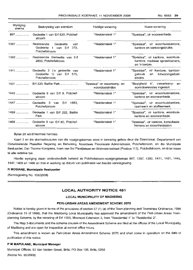| Wysiging-<br>skema | Beskrywing van eiendom                                                   | Huidige sonering                                | Nuwe sonering                                                                          |
|--------------------|--------------------------------------------------------------------------|-------------------------------------------------|----------------------------------------------------------------------------------------|
|                    | 897 Gedeelte 1 van Erf 820, Potchef-<br>stroom                           | "Residensieel 1"                                | "Spesiaal", vir wooneenhede.                                                           |
| 1387               | Resterende Gedeelte<br>van<br>Gedeelte 1 van Erf 373,<br>Potchefstroom   | "Residensieel 1"                                | "Spesiaal", vir woonhuiskantore,<br>kantore en kantoorgebruike.                        |
|                    | 1392 Resterende Gedeelte van Erf<br>2650, Potchefstroom                  | "Residensieel 1"                                | "Spesiaal", vir kantore, woonhuis-<br>kantore, mediese spreekkamers,<br>en 'n teetuin. |
| 1411               | Gedeelte 2 ('n gedeelte van<br>Gedeelte 1) van Erf 375,<br>Potchefstroom | "Residensieel 1"                                | "Spesiaal", vir kantore, kantoor-<br>bewoningsdoel-<br>qebruik<br>en<br>eindes.        |
|                    | 1431  Erf 220, Baillie Park                                              | "Spesiaal" vir veeartseny- en<br>woondoeleindes | "Besigheid 4", veeartseny- en<br>woondoeleindes ingesluit.                             |
|                    | 1445  Gedeelte 6 van Erf 9, Potchef-<br>stroom                           | "Residensieel 1"                                | "Spesiaal", vir woonhuiskantore,<br>kantore en wooneenhede.                            |
| 1447               | Gedeelte 3 van Erf 1693,<br>Potchefstroom                                | "Residensieel 1"                                | "Spesiaal", vir woonhuiskantore,<br>raamwerk en stoffeerwerk.                          |
| $1459$             | Gedeelte 1 van Erf 222, Baillie<br>Park                                  | "Residensieel 1"                                | "Spesiaal", vir kantore, woonhuis-<br>kantore en wooneenhede.                          |
| $1466$             | Gedeelte 8 van Erf 60, Potchef-<br>stroom                                | "Residensieel 1"                                | "Spesiaal", vir kantore, konsultasie-<br>kamers en skoonheidsalon.                     |

#### Bylae 28 word hiermee herroep.

Kaart 3 en die skemaklousules van die wysigingskemas word in bewaring gehou deur die Direktoraat, Departement van Ontwikkelende Plaaslike Regering en Behuising, Noordwes Provinsiale Administrasie, Potchefstroom, en die Munisipale Bestuurder, Dan Tloome Kompleks, hoek van Sol Plaatjielaan en Wolmaransstraat (Posbus 113), Potchefstroom, en Ie ter insae te aile redelike tye.

Hierdie wysiging staan onderskeidelik bekend as Potchefstroom-wysigingskemas 897, 1387, 1392, 1411, 1431, 1445, 1447, 1459 en 1466 en tree in werking op datum van publikasie van hierdie kennisgewing.

#### **R MOSIANE, Munisipalle Bestuurder**

(Kennisgewing No. 158/2008)

#### **LOCAL AUTHORITY NOTICE 481**

#### **LOCAL MUNICIPALITY OF MADIBENG**

#### **PERI-URBAN AREAS AMENDMENT SCHEME 2070**

Notice is hereby given in terms of the provisions of section 57 (1) (a) of the Town-planning and Townships Ordinance, 1986 (Ordinance 15 of 1986), that the Madibeng Local Municipality has approved the amendment of the Peri-Urban Areas Townplanning Scheme, by the rezoning of Erf 1050, Mooinooi Extension 3, from "Residential 1" to "Residential 2".

The Map 3-documents and the scheme clauses of the Amendment Scheme are filed at the offices of the Local Municipality of Madibeng and are open for inspection at normal office hours.

This amendment is known as Peri-Urban Areas Amendment Scheme 2070 and shall come in operation on the date of publication of this notice.

#### P **M MAPULANE, Municipal Manager**

Municipal Offices, 53 Van Velden Street, Brits; PO Box 106, Brits, 0250 (Notice No. 95/2008)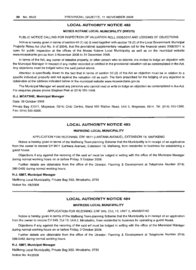#### **LOCAL AUTHORITY NOTICE** 482

#### MOSES KOTANE LOCAL MUNICIPALITY (NW375)

#### PUBLIC NOTICE CALLING FOR INSPECTION OF VALUATION ROLL 2008/2012 AND LODGING OF OBJECTIONS

Notice is hereby given in terms of section 49 (1) (a) (i) read together with section 78 (2) of the Local Government: Municipal Property Rates Act (Act No.6 of 2004), that the provisional supplementary valuation roll for the financial years 2008/2011 is open for public inspection at the offices of the Moses Kotane Local Municipality as well as on the municipal website www.moseskante.gov.za from 3 November 2008 to 24 December 2008.

In terms of the Act, any owner of rateable property, or other person who so desires, are invited to lodge an objection with the Municipal Manager in respect of any matter recorded or omitted in the provisional valuation roll as contemplated in the Act. Any objections must be lodged within the said period above.

Attention is specifically drawn to the fact that in terms of section 50 (2) of the Act an objection must be in relation to a specific individual property and not against the valuation roll as such. The form prescribed for the lodging of any objection is obtainable at the address indicated below or the municipal website www.moseskotane.gov.za

The Municipal Manager wil assist any person/s who cannot read or write to lodge an objection as contemplated in the Act. For enquiries please phone Stephan Piek at (014) 555-1348.

#### G.J. MOATSHE, Municipal Manager

#### Date: 29 October 2008

Private Bag X1011, Mogwase, 0314; Civic Centre, Stand 935 Station Road, Unit 3, Mogwase, 0314. Tel: (014) 555-1300. Fax: (014) 555-6368.

#### **LOCAL AUTHORITY NOTICE** 483

#### MAFIKENG LOCAL MUNICIPALITY

#### APPLICATION FOR REZONING: ERF 9611 (LANTANA AVENUE), EXTENSION 19, MAFIKENG

Notice is hereby given in terms of the Mafikeng Town-planning Scheme that the Municipality is in receipt of an application from the owner to rezone Ert 9611 (Lantana Avenue), Extension 19, Mafikeng, from residential to business for establishing a guest house.

Objections if any against the rezoning of the said ert must be lodged in writing with the office of the Municipal Manager during normal working hours on or before Friday, 3 October 2008.

Further details are obtainable from the office of the Director: Planning & Development at Telephone Number (018) 389-0462 during normal working hours.

#### H.J. SMIT, Municipal Manager

Mafikeng Local Municipality, Private Bag X63, Mmabatho, 2735 Notice No. 98/2008

#### **LOCAL AUTHORITY NOTICE** 484

#### MAFIKENG LOCAL MUNICIPALITY

#### APPLICATION FOR REZONING: ERF 349, CUL 13, UNIT 2, MMABATHO

Notice is hereby given in terms of the Mafikeng Town-planning Scheme that the Municipality is in receipt of an application from the owner to rezone Erf 349, Cui 13, Unit 2, Mmabatho, from residential to business for operating a guest house.

Objections if any against the rezoning of the said ert must be lodged in writing with the office of the Municipal Manager during normal working hours on or before Friday, 3 October 2008.

Further details are obtainable from the office of the Director: Planning & Development at Telephone Number (018) 389-0462 during normal working hours.

#### H.J. SMIT, Municipal Manager

Mafikeng Local Municipality, Private Bag X63, Mmabatho, 2735 Notice No. 94/2008